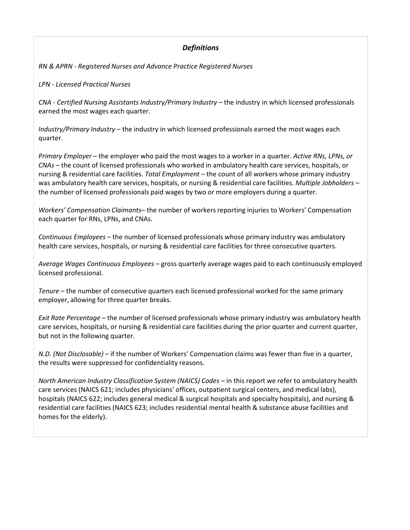# *Definitions*

*RN & APRN - Registered Nurses and Advance Practice Registered Nurses*

*LPN - Licensed Practical Nurses*

*CNA - Certified Nursing Assistants Industry/Primary Industry* – the industry in which licensed professionals earned the most wages each quarter.

*Industry/Primary Industry* – the industry in which licensed professionals earned the most wages each quarter.

*Primary Employer* – the employer who paid the most wages to a worker in a quarter. *Active RNs, LPNs, or CNAs* – the count of licensed professionals who worked in ambulatory health care services, hospitals, or nursing & residential care facilities. *Total Employment* – the count of all workers whose primary industry was ambulatory health care services, hospitals, or nursing & residential care facilities. *Multiple Jobholders* – the number of licensed professionals paid wages by two or more employers during a quarter.

*Workers' Compensation Claimants*– the number of workers reporting injuries to Workers' Compensation each quarter for RNs, LPNs, and CNAs.

*Continuous Employees* – the number of licensed professionals whose primary industry was ambulatory health care services, hospitals, or nursing & residential care facilities for three consecutive quarters.

*Average Wages Continuous Employees* – gross quarterly average wages paid to each continuously employed licensed professional.

*Tenure* – the number of consecutive quarters each licensed professional worked for the same primary employer, allowing for three quarter breaks.

*Exit Rate Percentage* – the number of licensed professionals whose primary industry was ambulatory health care services, hospitals, or nursing & residential care facilities during the prior quarter and current quarter, but not in the following quarter.

*N.D. (Not Disclosable)* – if the number of Workers' Compensation claims was fewer than five in a quarter, the results were suppressed for confidentiality reasons.

*North American Industry Classification System (NAICS) Codes* – in this report we refer to ambulatory health care services (NAICS 621; includes physicians' offices, outpatient surgical centers, and medical labs), hospitals (NAICS 622; includes general medical & surgical hospitals and specialty hospitals), and nursing & residential care facilities (NAICS 623; includes residential mental health & substance abuse facilities and homes for the elderly).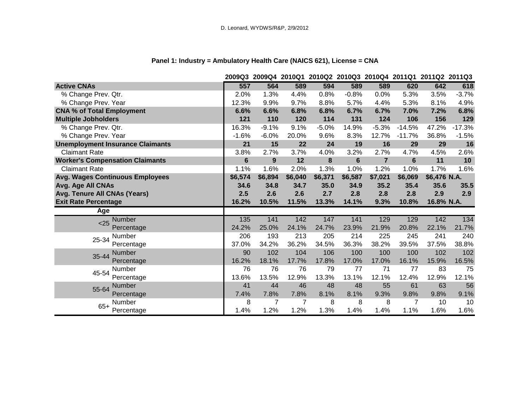|                                         |                | 2009Q3 2009Q4 2010Q1 2010Q2 2010Q3 2010Q4 2011Q1 2011Q2 2011Q3 |         |         |                |                |          |              |          |
|-----------------------------------------|----------------|----------------------------------------------------------------|---------|---------|----------------|----------------|----------|--------------|----------|
| <b>Active CNAs</b>                      | 557            | 564                                                            | 589     | 594     | 589            | 589            | 620      | 642          | 618      |
| % Change Prev. Qtr.                     | 2.0%           | 1.3%                                                           | 4.4%    | 0.8%    | $-0.8%$        | 0.0%           | 5.3%     | 3.5%         | $-3.7%$  |
| % Change Prev. Year                     | 12.3%          | 9.9%                                                           | 9.7%    | 8.8%    | 5.7%           | 4.4%           | 5.3%     | 8.1%         | 4.9%     |
| <b>CNA % of Total Employment</b>        | 6.6%           | 6.6%                                                           | 6.8%    | 6.8%    | 6.7%           | 6.7%           | 7.0%     | 7.2%         | 6.8%     |
| <b>Multiple Jobholders</b>              | 121            | 110                                                            | 120     | 114     | 131            | 124            | 106      | 156          | 129      |
| % Change Prev. Qtr.                     | 16.3%          | $-9.1%$                                                        | 9.1%    | $-5.0%$ | 14.9%          | $-5.3%$        | $-14.5%$ | 47.2%        | $-17.3%$ |
| % Change Prev. Year                     | $-1.6%$        | $-6.0%$                                                        | 20.0%   | 9.6%    | 8.3%           | 12.7%          | $-11.7%$ | 36.8%        | $-1.5%$  |
| <b>Unemployment Insurance Claimants</b> | 21             | 15                                                             | 22      | 24      | 19             | 16             | 29       | 29           | 16       |
| <b>Claimant Rate</b>                    | 3.8%           | 2.7%                                                           | 3.7%    | 4.0%    | 3.2%           | 2.7%           | 4.7%     | 4.5%         | 2.6%     |
| <b>Worker's Compensation Claimants</b>  | $6\phantom{1}$ | 9                                                              | 12      | 8       | $6\phantom{1}$ | $\overline{7}$ | 6        | 11           | 10       |
| <b>Claimant Rate</b>                    | 1.1%           | 1.6%                                                           | 2.0%    | 1.3%    | 1.0%           | 1.2%           | 1.0%     | 1.7%         | 1.6%     |
| <b>Avg. Wages Continuous Employees</b>  | \$6,574        | \$6,894                                                        | \$6,040 | \$6,371 | \$6,587        | \$7,021        | \$6,069  | \$6,476 N.A. |          |
| Avg. Age All CNAs                       | 34.6           | 34.8                                                           | 34.7    | 35.0    | 34.9           | 35.2           | 35.4     | 35.6         | 35.5     |
| Avg. Tenure All CNAs (Years)            | 2.5            | 2.6                                                            | 2.6     | 2.7     | 2.8            | 2.8            | 2.8      | 2.9          | 2.9      |
| <b>Exit Rate Percentage</b>             | 16.2%          | 10.5%                                                          | 11.5%   | 13.3%   | 14.1%          | 9.3%           | 10.8%    | 16.8% N.A.   |          |
| Age                                     |                |                                                                |         |         |                |                |          |              |          |
| <b>Number</b><br>< 25                   | 135            | 141                                                            | 142     | 147     | 141            | 129            | 129      | 142          | 134      |
| Percentage                              | 24.2%          | 25.0%                                                          | 24.1%   | 24.7%   | 23.9%          | 21.9%          | 20.8%    | 22.1%        | 21.7%    |
| Number<br>25-34                         | 206            | 193                                                            | 213     | 205     | 214            | 225            | 245      | 241          | 240      |
| Percentage                              | 37.0%          | 34.2%                                                          | 36.2%   | 34.5%   | 36.3%          | 38.2%          | 39.5%    | 37.5%        | 38.8%    |
| <b>Number</b><br>35-44                  | 90             | 102                                                            | 104     | 106     | 100            | 100            | 100      | 102          | 102      |
| Percentage                              | 16.2%          | 18.1%                                                          | 17.7%   | 17.8%   | 17.0%          | 17.0%          | 16.1%    | 15.9%        | 16.5%    |
| Number<br>45-54                         | 76             | 76                                                             | 76      | 79      | 77             | 71             | 77       | 83           | 75       |
| Percentage                              | 13.6%          | 13.5%                                                          | 12.9%   | 13.3%   | 13.1%          | 12.1%          | 12.4%    | 12.9%        | 12.1%    |
| <b>Number</b><br>55-64                  | 41             | 44                                                             | 46      | 48      | 48             | 55             | 61       | 63           | 56       |
| Percentage                              | 7.4%           | 7.8%                                                           | 7.8%    | 8.1%    | 8.1%           | 9.3%           | 9.8%     | 9.8%         | 9.1%     |
| Number<br>$65+$                         | 8              | 7                                                              | 7       | 8       | 8              | 8              | 7        | 10           | 10       |
| Percentage                              | 1.4%           | 1.2%                                                           | 1.2%    | 1.3%    | 1.4%           | 1.4%           | 1.1%     | 1.6%         | 1.6%     |

# **Panel 1: Industry = Ambulatory Health Care (NAICS 621), License = CNA**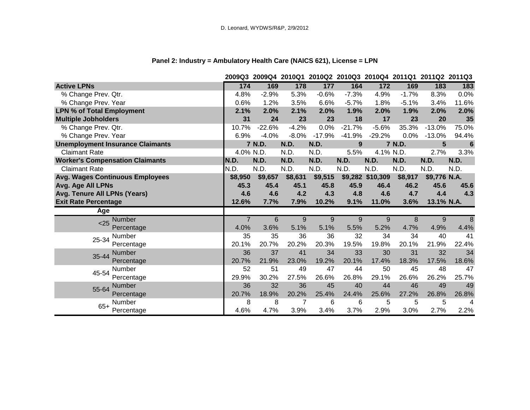|                                         |                | 2009Q3 2009Q4 2010Q1 2010Q2 2010Q3 2010Q4 2011Q1 2011Q2 2011Q3 |         |             |          |                  |         |                |                |
|-----------------------------------------|----------------|----------------------------------------------------------------|---------|-------------|----------|------------------|---------|----------------|----------------|
| <b>Active LPNs</b>                      | 174            | 169                                                            | 178     | 177         | 164      | $172$            | 169     | 183            | 183            |
| % Change Prev. Qtr.                     | 4.8%           | $-2.9%$                                                        | 5.3%    | $-0.6%$     | $-7.3%$  | 4.9%             | $-1.7%$ | 8.3%           | 0.0%           |
| % Change Prev. Year                     | 0.6%           | 1.2%                                                           | 3.5%    | 6.6%        | $-5.7%$  | 1.8%             | $-5.1%$ | 3.4%           | 11.6%          |
| <b>LPN % of Total Employment</b>        | 2.1%           | 2.0%                                                           | 2.1%    | 2.0%        | 1.9%     | 2.0%             | 1.9%    | 2.0%           | 2.0%           |
| <b>Multiple Jobholders</b>              | 31             | 24                                                             | 23      | 23          | 18       | 17               | 23      | 20             | 35             |
| % Change Prev. Qtr.                     | 10.7%          | $-22.6%$                                                       | $-4.2%$ | 0.0%        | $-21.7%$ | $-5.6%$          | 35.3%   | $-13.0%$       | 75.0%          |
| % Change Prev. Year                     | 6.9%           | $-4.0%$                                                        | $-8.0%$ | $-17.9%$    | $-41.9%$ | $-29.2%$         | 0.0%    | $-13.0%$       | 94.4%          |
| <b>Unemployment Insurance Claimants</b> |                | 7 N.D.                                                         | N.D.    | <b>N.D.</b> | 9        |                  | 7 N.D.  | $5\phantom{1}$ | $6\phantom{1}$ |
| <b>Claimant Rate</b>                    |                | 4.0% N.D.                                                      | N.D.    | N.D.        | 5.5%     | 4.1% N.D.        |         | 2.7%           | 3.3%           |
| <b>Worker's Compensation Claimants</b>  | N.D.           | N.D.                                                           | N.D.    | N.D.        | N.D.     | N.D.             | N.D.    | N.D.           | N.D.           |
| <b>Claimant Rate</b>                    | N.D.           | N.D.                                                           | N.D.    | N.D.        | N.D.     | N.D.             | N.D.    | N.D.           | N.D.           |
| <b>Avg. Wages Continuous Employees</b>  | \$8,950        | \$9,657                                                        | \$8,631 | \$9,515     |          | \$9,282 \$10,309 | \$8,917 | \$9,776 N.A.   |                |
| Avg. Age All LPNs                       | 45.3           | 45.4                                                           | 45.1    | 45.8        | 45.9     | 46.4             | 46.2    | 45.6           | 45.6           |
| Avg. Tenure All LPNs (Years)            | 4.6            | 4.6                                                            | 4.2     | 4.3         | 4.8      | 4.6              | 4.7     | 4.4            | 4.3            |
| <b>Exit Rate Percentage</b>             | 12.6%          | 7.7%                                                           | 7.9%    | 10.2%       | 9.1%     | 11.0%            | 3.6%    | 13.1% N.A.     |                |
| Age                                     |                |                                                                |         |             |          |                  |         |                |                |
| <b>Number</b><br>< 25                   | $\overline{7}$ | 6                                                              | 9       | 9           | 9        | 9                | 8       | 9              | 8              |
| Percentage                              | 4.0%           | 3.6%                                                           | 5.1%    | 5.1%        | 5.5%     | 5.2%             | 4.7%    | 4.9%           | 4.4%           |
| Number<br>25-34                         | 35             | 35                                                             | 36      | 36          | 32       | 34               | 34      | 40             | 41             |
| Percentage                              | 20.1%          | 20.7%                                                          | 20.2%   | 20.3%       | 19.5%    | 19.8%            | 20.1%   | 21.9%          | 22.4%          |
| <b>Number</b><br>35-44                  | 36             | 37                                                             | 41      | 34          | 33       | 30               | 31      | 32             | 34             |
| Percentage                              | 20.7%          | 21.9%                                                          | 23.0%   | 19.2%       | 20.1%    | 17.4%            | 18.3%   | 17.5%          | 18.6%          |
| Number<br>45-54                         | 52             | 51                                                             | 49      | 47          | 44       | 50               | 45      | 48             | 47             |
| Percentage                              | 29.9%          | 30.2%                                                          | 27.5%   | 26.6%       | 26.8%    | 29.1%            | 26.6%   | 26.2%          | 25.7%          |
| <b>Number</b><br>55-64                  | 36             | 32                                                             | 36      | 45          | 40       | 44               | 46      | 49             | 49             |
| Percentage                              | 20.7%          | 18.9%                                                          | 20.2%   | 25.4%       | 24.4%    | 25.6%            | 27.2%   | 26.8%          | 26.8%          |
| Number<br>$65+$                         | 8              | 8                                                              | 7       | 6           | 6        | 5                | 5       | 5              | 4              |
| Percentage                              | 4.6%           | 4.7%                                                           | 3.9%    | 3.4%        | 3.7%     | 2.9%             | 3.0%    | 2.7%           | 2.2%           |

# **Panel 2: Industry = Ambulatory Health Care (NAICS 621), License = LPN**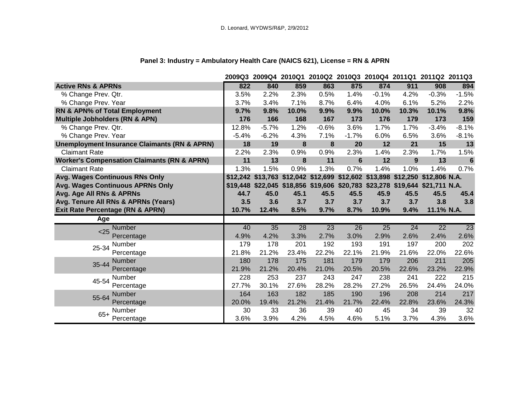|                                                         |         | 2009Q3 2009Q4 2010Q1 2010Q2 2010Q3 2010Q4 2011Q1 2011Q2 2011Q3               |       |         |                 |                 |       |                 |         |
|---------------------------------------------------------|---------|------------------------------------------------------------------------------|-------|---------|-----------------|-----------------|-------|-----------------|---------|
| <b>Active RNs &amp; APRNs</b>                           | 822     | 840                                                                          | 859   | 863     | 875             | 874             | 911   | 908             | 894     |
| % Change Prev. Qtr.                                     | 3.5%    | 2.2%                                                                         | 2.3%  | 0.5%    | 1.4%            | $-0.1%$         | 4.2%  | $-0.3%$         | $-1.5%$ |
| % Change Prev. Year                                     | 3.7%    | 3.4%                                                                         | 7.1%  | 8.7%    | 6.4%            | 4.0%            | 6.1%  | 5.2%            | 2.2%    |
| RN & APN% of Total Employment                           | 9.7%    | 9.8%                                                                         | 10.0% | 9.9%    | 9.9%            | 10.0%           | 10.3% | 10.1%           | 9.8%    |
| <b>Multiple Jobholders (RN &amp; APN)</b>               | 176     | 166                                                                          | 168   | 167     | 173             | 176             | 179   | 173             | 159     |
| % Change Prev. Qtr.                                     | 12.8%   | $-5.7%$                                                                      | 1.2%  | $-0.6%$ | 3.6%            | 1.7%            | 1.7%  | $-3.4%$         | $-8.1%$ |
| % Change Prev. Year                                     | $-5.4%$ | $-6.2%$                                                                      | 4.3%  | 7.1%    | $-1.7%$         | 6.0%            | 6.5%  | 3.6%            | $-8.1%$ |
| <b>Unemployment Insurance Claimants (RN &amp; APRN)</b> | 18      | 19                                                                           | 8     | 8       | 20              | 12              | 21    | 15              | 13      |
| <b>Claimant Rate</b>                                    | 2.2%    | 2.3%                                                                         | 0.9%  | 0.9%    | 2.3%            | 1.4%            | 2.3%  | 1.7%            | 1.5%    |
| <b>Worker's Compensation Claimants (RN &amp; APRN)</b>  | 11      | 13                                                                           | 8     | 11      | $6\phantom{1}6$ | 12              | 9     | 13              | 6       |
| <b>Claimant Rate</b>                                    | 1.3%    | 1.5%                                                                         | 0.9%  | 1.3%    | 0.7%            | 1.4%            | 1.0%  | 1.4%            | 0.7%    |
| Avg. Wages Continuous RNs Only                          |         | \$12,242 \$13,763 \$12,042 \$12,699 \$12,602 \$13,898 \$12,250 \$12,806 N.A. |       |         |                 |                 |       |                 |         |
| Avg. Wages Continuous APRNs Only                        |         | \$19,448 \$22,045 \$18,856 \$19,606 \$20,783 \$23,278 \$19,644 \$21,711 N.A. |       |         |                 |                 |       |                 |         |
| Avg. Age All RNs & APRNs                                | 44.7    | 45.0                                                                         | 45.1  | 45.5    | 45.5            | 45.9            | 45.5  | 45.5            | 45.4    |
| Avg. Tenure All RNs & APRNs (Years)                     | 3.5     | 3.6                                                                          | 3.7   | 3.7     | 3.7             | 3.7             | 3.7   | 3.8             | 3.8     |
| <b>Exit Rate Percentage (RN &amp; APRN)</b>             | 10.7%   | 12.4%                                                                        | 8.5%  | 9.7%    | 8.7%            | 10.9%           | 9.4%  | 11.1% N.A.      |         |
| Age                                                     |         |                                                                              |       |         |                 |                 |       |                 |         |
| <b>Number</b><br>< 25                                   | 40      | 35                                                                           | 28    | 23      | $\overline{26}$ | $\overline{25}$ | 24    | $\overline{22}$ | 23      |
| Percentage                                              | 4.9%    | 4.2%                                                                         | 3.3%  | 2.7%    | 3.0%            | 2.9%            | 2.6%  | 2.4%            | 2.6%    |
| Number<br>25-34                                         | 179     | 178                                                                          | 201   | 192     | 193             | 191             | 197   | 200             | 202     |
| Percentage                                              | 21.8%   | 21.2%                                                                        | 23.4% | 22.2%   | 22.1%           | 21.9%           | 21.6% | 22.0%           | 22.6%   |
| Number<br>35-44                                         | 180     | 178                                                                          | 175   | 181     | 179             | 179             | 206   | 211             | 205     |
| Percentage                                              | 21.9%   | 21.2%                                                                        | 20.4% | 21.0%   | 20.5%           | 20.5%           | 22.6% | 23.2%           | 22.9%   |
| Number<br>45-54                                         | 228     | 253                                                                          | 237   | 243     | 247             | 238             | 241   | 222             | 215     |
| Percentage                                              | 27.7%   | 30.1%                                                                        | 27.6% | 28.2%   | 28.2%           | 27.2%           | 26.5% | 24.4%           | 24.0%   |
| Number<br>55-64                                         | 164     | 163                                                                          | 182   | 185     | 190             | 196             | 208   | 214             | 217     |
| Percentage                                              | 20.0%   | 19.4%                                                                        | 21.2% | 21.4%   | 21.7%           | 22.4%           | 22.8% | 23.6%           | 24.3%   |
| <b>Number</b><br>$65+$                                  | 30      | 33                                                                           | 36    | 39      | 40              | 45              | 34    | 39              | 32      |
| Percentage                                              | 3.6%    | 3.9%                                                                         | 4.2%  | 4.5%    | 4.6%            | 5.1%            | 3.7%  | 4.3%            | 3.6%    |

# **Panel 3: Industry = Ambulatory Health Care (NAICS 621), License = RN & APRN**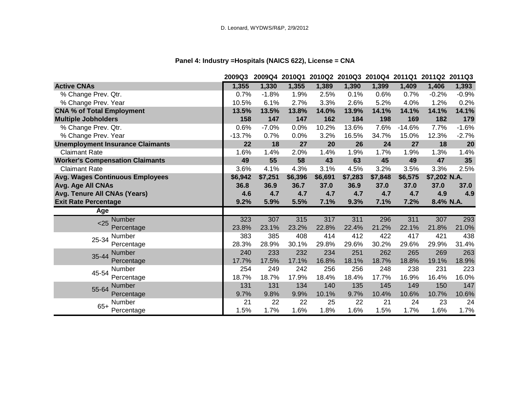# **Panel 4: Industry =Hospitals (NAICS 622), License = CNA**

|                                         | 2009Q3   |         |         |         |         | 2009Q4 2010Q1 2010Q2 2010Q3 2010Q4 2011Q1 2011Q2 2011Q3 |          |              |         |
|-----------------------------------------|----------|---------|---------|---------|---------|---------------------------------------------------------|----------|--------------|---------|
| <b>Active CNAs</b>                      | 1,355    | 1,330   | 1,355   | 1,389   | 1,390   | 1,399                                                   | 1,409    | 1,406        | 1,393   |
| % Change Prev. Qtr.                     | 0.7%     | $-1.8%$ | 1.9%    | 2.5%    | 0.1%    | 0.6%                                                    | 0.7%     | $-0.2%$      | $-0.9%$ |
| % Change Prev. Year                     | 10.5%    | 6.1%    | 2.7%    | 3.3%    | 2.6%    | 5.2%                                                    | 4.0%     | 1.2%         | 0.2%    |
| <b>CNA % of Total Employment</b>        | 13.5%    | 13.5%   | 13.8%   | 14.0%   | 13.9%   | 14.1%                                                   | 14.1%    | 14.1%        | 14.1%   |
| <b>Multiple Jobholders</b>              | 158      | 147     | 147     | 162     | 184     | 198                                                     | 169      | 182          | 179     |
| % Change Prev. Qtr.                     | 0.6%     | $-7.0%$ | 0.0%    | 10.2%   | 13.6%   | 7.6%                                                    | $-14.6%$ | 7.7%         | $-1.6%$ |
| % Change Prev. Year                     | $-13.7%$ | 0.7%    | 0.0%    | 3.2%    | 16.5%   | 34.7%                                                   | 15.0%    | 12.3%        | $-2.7%$ |
| <b>Unemployment Insurance Claimants</b> | 22       | 18      | 27      | 20      | 26      | 24                                                      | 27       | 18           | 20      |
| <b>Claimant Rate</b>                    | 1.6%     | 1.4%    | 2.0%    | 1.4%    | 1.9%    | 1.7%                                                    | 1.9%     | 1.3%         | 1.4%    |
| <b>Worker's Compensation Claimants</b>  | 49       | 55      | 58      | 43      | 63      | 45                                                      | 49       | 47           | 35      |
| <b>Claimant Rate</b>                    | 3.6%     | 4.1%    | 4.3%    | 3.1%    | 4.5%    | 3.2%                                                    | 3.5%     | 3.3%         | 2.5%    |
| <b>Avg. Wages Continuous Employees</b>  | \$6,942  | \$7,251 | \$6,396 | \$6,691 | \$7,283 | \$7,848                                                 | \$6,575  | \$7,202 N.A. |         |
| Avg. Age All CNAs                       | 36.8     | 36.9    | 36.7    | 37.0    | 36.9    | 37.0                                                    | 37.0     | 37.0         | 37.0    |
| Avg. Tenure All CNAs (Years)            | 4.6      | 4.7     | 4.7     | 4.7     | 4.7     | 4.7                                                     | 4.7      | 4.9          | 4.9     |
| <b>Exit Rate Percentage</b>             | 9.2%     | 5.9%    | 5.5%    | 7.1%    | 9.3%    | 7.1%                                                    | 7.2%     | 8.4% N.A.    |         |
| Age                                     |          |         |         |         |         |                                                         |          |              |         |
| Number<br>< 25                          | 323      | 307     | 315     | 317     | 311     | 296                                                     | 311      | 307          | 293     |
| Percentage                              | 23.8%    | 23.1%   | 23.2%   | 22.8%   | 22.4%   | 21.2%                                                   | 22.1%    | 21.8%        | 21.0%   |
| Number<br>25-34                         | 383      | 385     | 408     | 414     | 412     | 422                                                     | 417      | 421          | 438     |
| Percentage                              | 28.3%    | 28.9%   | 30.1%   | 29.8%   | 29.6%   | 30.2%                                                   | 29.6%    | 29.9%        | 31.4%   |
| <b>Number</b><br>35-44                  | 240      | 233     | 232     | 234     | 251     | 262                                                     | 265      | 269          | 263     |
| Percentage                              | 17.7%    | 17.5%   | 17.1%   | 16.8%   | 18.1%   | 18.7%                                                   | 18.8%    | 19.1%        | 18.9%   |
| Number<br>45-54                         | 254      | 249     | 242     | 256     | 256     | 248                                                     | 238      | 231          | 223     |
| Percentage                              | 18.7%    | 18.7%   | 17.9%   | 18.4%   | 18.4%   | 17.7%                                                   | 16.9%    | 16.4%        | 16.0%   |
| Number<br>55-64                         | 131      | 131     | 134     | 140     | 135     | 145                                                     | 149      | 150          | 147     |
| Percentage                              | 9.7%     | 9.8%    | 9.9%    | 10.1%   | 9.7%    | 10.4%                                                   | 10.6%    | 10.7%        | 10.6%   |
| Number<br>$65+$                         | 21       | 22      | 22      | 25      | 22      | 21                                                      | 24       | 23           | 24      |
| Percentage                              | 1.5%     | 1.7%    | 1.6%    | 1.8%    | 1.6%    | 1.5%                                                    | 1.7%     | 1.6%         | 1.7%    |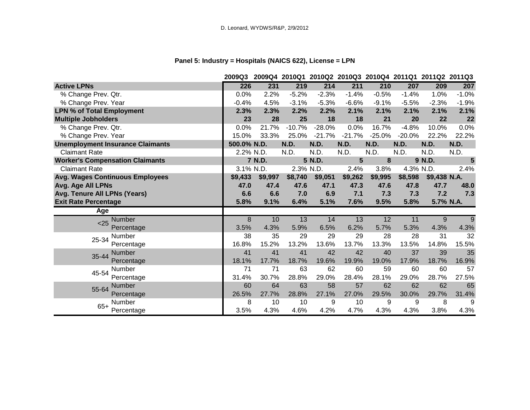# **Panel 5: Industry = Hospitals (NAICS 622), License = LPN**

|                                         | 2009Q3      |           |             |             |          |          | 2009Q4 2010Q1 2010Q2 2010Q3 2010Q4 2011Q1 2011Q2 2011Q3 |              |                |
|-----------------------------------------|-------------|-----------|-------------|-------------|----------|----------|---------------------------------------------------------|--------------|----------------|
| <b>Active LPNs</b>                      | 226         | 231       | 219         | 214         | 211      | 210      | 207                                                     | 209          | 207            |
| % Change Prev. Qtr.                     | 0.0%        | 2.2%      | $-5.2%$     | $-2.3%$     | $-1.4%$  | $-0.5%$  | $-1.4%$                                                 | 1.0%         | $-1.0%$        |
| % Change Prev. Year                     | $-0.4%$     | 4.5%      | $-3.1%$     | $-5.3%$     | $-6.6%$  | $-9.1%$  | $-5.5%$                                                 | $-2.3%$      | $-1.9%$        |
| <b>LPN % of Total Employment</b>        | 2.3%        | 2.3%      | 2.2%        | 2.2%        | 2.1%     | 2.1%     | 2.1%                                                    | 2.1%         | 2.1%           |
| <b>Multiple Jobholders</b>              | 23          | 28        | 25          | 18          | 18       | 21       | 20                                                      | 22           | 22             |
| % Change Prev. Qtr.                     | 0.0%        | 21.7%     | $-10.7%$    | $-28.0%$    | 0.0%     | 16.7%    | $-4.8%$                                                 | 10.0%        | 0.0%           |
| % Change Prev. Year                     | 15.0%       | 33.3%     | 25.0%       | $-21.7%$    | $-21.7%$ | $-25.0%$ | $-20.0%$                                                | 22.2%        | 22.2%          |
| <b>Unemployment Insurance Claimants</b> | 500.0% N.D. |           | <b>N.D.</b> | <b>N.D.</b> | N.D.     | N.D.     | N.D.                                                    | N.D.         | <b>N.D.</b>    |
| <b>Claimant Rate</b>                    |             | 2.2% N.D. | N.D.        | N.D.        | N.D.     | N.D.     | N.D.                                                    | N.D.         | N.D.           |
| <b>Worker's Compensation Claimants</b>  |             | 7 N.D.    |             | 5 N.D.      | 5        | 8        |                                                         | 9 N.D.       | $5\phantom{1}$ |
| <b>Claimant Rate</b>                    |             | 3.1% N.D. | 2.3% N.D.   |             | 2.4%     | 3.8%     | 4.3% N.D.                                               |              | 2.4%           |
| <b>Avg. Wages Continuous Employees</b>  | \$9,433     | \$9,997   | \$8,740     | \$9,051     | \$9,262  | \$9,995  | \$8,598                                                 | \$9,438 N.A. |                |
| Avg. Age All LPNs                       | 47.0        | 47.4      | 47.6        | 47.1        | 47.3     | 47.6     | 47.8                                                    | 47.7         | 48.0           |
| Avg. Tenure All LPNs (Years)            | 6.6         | 6.6       | 7.0         | 6.9         | 7.1      | 7.3      | 7.3                                                     | 7.2          | 7.3            |
| <b>Exit Rate Percentage</b>             | 5.8%        | 9.1%      | 6.4%        | 5.1%        | 7.6%     | 9.5%     | 5.8%                                                    | 5.7% N.A.    |                |
| Age                                     |             |           |             |             |          |          |                                                         |              |                |
| Number<br>< 25                          | 8           | 10        | 13          | 14          | 13       | 12       | 11                                                      | 9            | 9              |
| Percentage                              | 3.5%        | 4.3%      | 5.9%        | 6.5%        | 6.2%     | 5.7%     | 5.3%                                                    | 4.3%         | 4.3%           |
| Number<br>25-34                         | 38          | 35        | 29          | 29          | 29       | 28       | 28                                                      | 31           | 32             |
| Percentage                              | 16.8%       | 15.2%     | 13.2%       | 13.6%       | 13.7%    | 13.3%    | 13.5%                                                   | 14.8%        | 15.5%          |
| <b>Number</b><br>35-44                  | 41          | 41        | 41          | 42          | 42       | 40       | 37                                                      | 39           | 35             |
| Percentage                              | 18.1%       | 17.7%     | 18.7%       | 19.6%       | 19.9%    | 19.0%    | 17.9%                                                   | 18.7%        | 16.9%          |
| Number<br>45-54                         | 71          | 71        | 63          | 62          | 60       | 59       | 60                                                      | 60           | 57             |
| Percentage                              | 31.4%       | 30.7%     | 28.8%       | 29.0%       | 28.4%    | 28.1%    | 29.0%                                                   | 28.7%        | 27.5%          |
| Number<br>55-64                         | 60          | 64        | 63          | 58          | 57       | 62       | 62                                                      | 62           | 65             |
| Percentage                              | 26.5%       | 27.7%     | 28.8%       | 27.1%       | 27.0%    | 29.5%    | 30.0%                                                   | 29.7%        | 31.4%          |
| Number                                  | 8           | 10        | 10          | 9           | 10       | 9        | 9                                                       | 8            | 9              |
| $65+$<br>Percentage                     | 3.5%        | 4.3%      | 4.6%        | 4.2%        | 4.7%     | 4.3%     | 4.3%                                                    | 3.8%         | 4.3%           |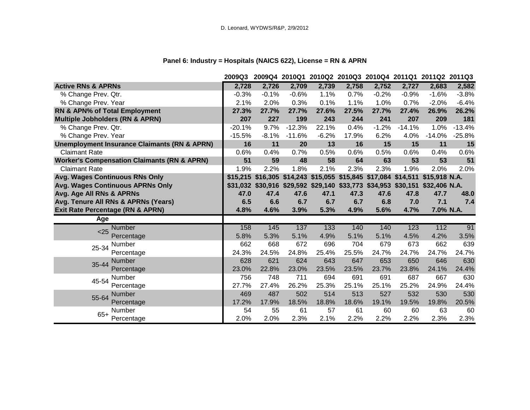# **Panel 6: Industry = Hospitals (NAICS 622), License = RN & APRN**

|                                                         | 2009Q3   |                                                                              |          |         |       |         |          | 2009Q4 2010Q1 2010Q2 2010Q3 2010Q4 2011Q1 2011Q2 2011Q3 |          |
|---------------------------------------------------------|----------|------------------------------------------------------------------------------|----------|---------|-------|---------|----------|---------------------------------------------------------|----------|
| <b>Active RNs &amp; APRNs</b>                           | 2,728    | 2,726                                                                        | 2,709    | 2,739   | 2,758 | 2,752   | 2,727    | 2,683                                                   | 2,582    |
| % Change Prev. Qtr.                                     | $-0.3%$  | $-0.1%$                                                                      | $-0.6%$  | 1.1%    | 0.7%  | $-0.2%$ | $-0.9%$  | $-1.6%$                                                 | $-3.8%$  |
| % Change Prev. Year                                     | 2.1%     | 2.0%                                                                         | 0.3%     | 0.1%    | 1.1%  | 1.0%    | 0.7%     | $-2.0%$                                                 | $-6.4%$  |
| RN & APN% of Total Employment                           | 27.3%    | 27.7%                                                                        | 27.7%    | 27.6%   | 27.5% | 27.7%   | 27.4%    | 26.9%                                                   | 26.2%    |
| <b>Multiple Jobholders (RN &amp; APRN)</b>              | 207      | 227                                                                          | 199      | 243     | 244   | 241     | 207      | 209                                                     | 181      |
| % Change Prev. Qtr.                                     | $-20.1%$ | 9.7%                                                                         | $-12.3%$ | 22.1%   | 0.4%  | $-1.2%$ | $-14.1%$ | 1.0%                                                    | $-13.4%$ |
| % Change Prev. Year                                     | $-15.5%$ | $-8.1%$                                                                      | $-11.6%$ | $-6.2%$ | 17.9% | 6.2%    | 4.0%     | $-14.0%$                                                | $-25.8%$ |
| <b>Unemployment Insurance Claimants (RN &amp; APRN)</b> | 16       | 11                                                                           | 20       | 13      | 16    | 15      | 15       | 11                                                      | 15       |
| <b>Claimant Rate</b>                                    | 0.6%     | 0.4%                                                                         | 0.7%     | 0.5%    | 0.6%  | 0.5%    | 0.6%     | 0.4%                                                    | 0.6%     |
| <b>Worker's Compensation Claimants (RN &amp; APRN)</b>  | 51       | 59                                                                           | 48       | 58      | 64    | 63      | 53       | 53                                                      | 51       |
| <b>Claimant Rate</b>                                    | 1.9%     | 2.2%                                                                         | 1.8%     | 2.1%    | 2.3%  | 2.3%    | 1.9%     | 2.0%                                                    | 2.0%     |
| Avg. Wages Continuous RNs Only                          |          | \$15,215 \$16,305 \$14,243 \$15,055 \$15,845 \$17,084 \$14,511               |          |         |       |         |          | \$15,918 N.A.                                           |          |
| Avg. Wages Continuous APRNs Only                        |          | \$31,032 \$30,916 \$29,592 \$29,140 \$33,773 \$34,953 \$30,151 \$32,406 N.A. |          |         |       |         |          |                                                         |          |
| Avg. Age All RNs & APRNs                                | 47.0     | 47.4                                                                         | 47.6     | 47.1    | 47.3  | 47.6    | 47.8     | 47.7                                                    | 48.0     |
| Avg. Tenure All RNs & APRNs (Years)                     | 6.5      | 6.6                                                                          | 6.7      | 6.7     | 6.7   | 6.8     | 7.0      | 7.1                                                     | 7.4      |
| <b>Exit Rate Percentage (RN &amp; APRN)</b>             | 4.8%     | 4.6%                                                                         | 3.9%     | 5.3%    | 4.9%  | 5.6%    | 4.7%     | 7.0% N.A.                                               |          |
| Age                                                     |          |                                                                              |          |         |       |         |          |                                                         |          |
| Number<br>$25$                                          | 158      | 145                                                                          | 137      | 133     | 140   | 140     | 123      | 112                                                     | 91       |
| Percentage                                              | 5.8%     | 5.3%                                                                         | 5.1%     | 4.9%    | 5.1%  | 5.1%    | 4.5%     | 4.2%                                                    | 3.5%     |
| Number<br>25-34                                         | 662      | 668                                                                          | 672      | 696     | 704   | 679     | 673      | 662                                                     | 639      |
| Percentage                                              | 24.3%    | 24.5%                                                                        | 24.8%    | 25.4%   | 25.5% | 24.7%   | 24.7%    | 24.7%                                                   | 24.7%    |
| <b>Number</b><br>35-44                                  | 628      | 621                                                                          | 624      | 643     | 647   | 653     | 650      | 646                                                     | 630      |
| Percentage                                              | 23.0%    | 22.8%                                                                        | 23.0%    | 23.5%   | 23.5% | 23.7%   | 23.8%    | 24.1%                                                   | 24.4%    |
| Number<br>45-54                                         | 756      | 748                                                                          | 711      | 694     | 691   | 691     | 687      | 667                                                     | 630      |
| Percentage                                              | 27.7%    | 27.4%                                                                        | 26.2%    | 25.3%   | 25.1% | 25.1%   | 25.2%    | 24.9%                                                   | 24.4%    |
| <b>Number</b><br>55-64                                  | 469      | 487                                                                          | 502      | 514     | 513   | 527     | 532      | 530                                                     | 530      |
| Percentage                                              | 17.2%    | 17.9%                                                                        | 18.5%    | 18.8%   | 18.6% | 19.1%   | 19.5%    | 19.8%                                                   | 20.5%    |
| Number<br>$65+$                                         | 54       | 55                                                                           | 61       | 57      | 61    | 60      | 60       | 63                                                      | 60       |
| Percentage                                              | 2.0%     | 2.0%                                                                         | 2.3%     | 2.1%    | 2.2%  | 2.2%    | 2.2%     | 2.3%                                                    | 2.3%     |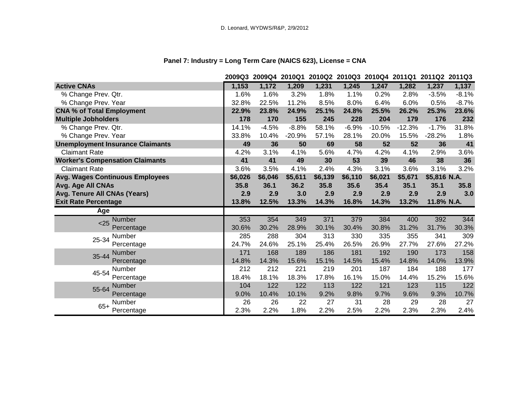# **Panel 7: Industry = Long Term Care (NAICS 623), License = CNA**

|                                         |         | 2009Q3 2009Q4 2010Q1 2010Q2 2010Q3 2010Q4 2011Q1 2011Q2 2011Q3 |          |         |         |          |          |              |         |
|-----------------------------------------|---------|----------------------------------------------------------------|----------|---------|---------|----------|----------|--------------|---------|
| <b>Active CNAs</b>                      | 1,153   | 1,172                                                          | 1,209    | 1,231   | 1,245   | 1,247    | 1,282    | 1,237        | 1,137   |
| % Change Prev. Qtr.                     | 1.6%    | 1.6%                                                           | 3.2%     | 1.8%    | 1.1%    | 0.2%     | 2.8%     | $-3.5%$      | $-8.1%$ |
| % Change Prev. Year                     | 32.8%   | 22.5%                                                          | 11.2%    | 8.5%    | 8.0%    | 6.4%     | 6.0%     | 0.5%         | $-8.7%$ |
| <b>CNA % of Total Employment</b>        | 22.9%   | 23.8%                                                          | 24.9%    | 25.1%   | 24.8%   | 25.5%    | 26.2%    | 25.3%        | 23.6%   |
| <b>Multiple Jobholders</b>              | 178     | 170                                                            | 155      | 245     | 228     | 204      | 179      | 176          | 232     |
| % Change Prev. Qtr.                     | 14.1%   | $-4.5%$                                                        | $-8.8%$  | 58.1%   | $-6.9%$ | $-10.5%$ | $-12.3%$ | $-1.7%$      | 31.8%   |
| % Change Prev. Year                     | 33.8%   | 10.4%                                                          | $-20.9%$ | 57.1%   | 28.1%   | 20.0%    | 15.5%    | $-28.2%$     | 1.8%    |
| <b>Unemployment Insurance Claimants</b> | 49      | 36                                                             | 50       | 69      | 58      | 52       | 52       | 36           | 41      |
| <b>Claimant Rate</b>                    | 4.2%    | 3.1%                                                           | 4.1%     | 5.6%    | 4.7%    | 4.2%     | 4.1%     | 2.9%         | 3.6%    |
| <b>Worker's Compensation Claimants</b>  | 41      | 41                                                             | 49       | 30      | 53      | 39       | 46       | 38           | 36      |
| <b>Claimant Rate</b>                    | 3.6%    | 3.5%                                                           | 4.1%     | 2.4%    | 4.3%    | 3.1%     | 3.6%     | 3.1%         | 3.2%    |
| <b>Avg. Wages Continuous Employees</b>  | \$6,026 | \$6,046                                                        | \$5,611  | \$6,139 | \$6,110 | \$6,021  | \$5,671  | \$5,816 N.A. |         |
| Avg. Age All CNAs                       | 35.8    | 36.1                                                           | 36.2     | 35.8    | 35.6    | 35.4     | 35.1     | 35.1         | 35.8    |
| Avg. Tenure All CNAs (Years)            | 2.9     | 2.9                                                            | 3.0      | 2.9     | 2.9     | 2.9      | 2.9      | 2.9          | 3.0     |
| <b>Exit Rate Percentage</b>             | 13.8%   | 12.5%                                                          | 13.3%    | 14.3%   | 16.8%   | 14.3%    | 13.2%    | 11.8% N.A.   |         |
| Age                                     |         |                                                                |          |         |         |          |          |              |         |
| <b>Number</b><br>< 25                   | 353     | 354                                                            | 349      | 371     | 379     | 384      | 400      | 392          | 344     |
| Percentage                              | 30.6%   | 30.2%                                                          | 28.9%    | 30.1%   | 30.4%   | 30.8%    | 31.2%    | 31.7%        | 30.3%   |
| <b>Number</b><br>25-34                  | 285     | 288                                                            | 304      | 313     | 330     | 335      | 355      | 341          | 309     |
| Percentage                              | 24.7%   | 24.6%                                                          | 25.1%    | 25.4%   | 26.5%   | 26.9%    | 27.7%    | 27.6%        | 27.2%   |
| <b>Number</b><br>35-44                  | 171     | 168                                                            | 189      | 186     | 181     | 192      | 190      | 173          | 158     |
| Percentage                              | 14.8%   | 14.3%                                                          | 15.6%    | 15.1%   | 14.5%   | 15.4%    | 14.8%    | 14.0%        | 13.9%   |
| Number<br>45-54                         | 212     | 212                                                            | 221      | 219     | 201     | 187      | 184      | 188          | 177     |
| Percentage                              | 18.4%   | 18.1%                                                          | 18.3%    | 17.8%   | 16.1%   | 15.0%    | 14.4%    | 15.2%        | 15.6%   |
| Number<br>55-64                         | 104     | 122                                                            | 122      | 113     | 122     | 121      | 123      | 115          | 122     |
| Percentage                              | 9.0%    | 10.4%                                                          | 10.1%    | 9.2%    | 9.8%    | 9.7%     | 9.6%     | 9.3%         | 10.7%   |
| <b>Number</b><br>$65+$                  | 26      | 26                                                             | 22       | 27      | 31      | 28       | 29       | 28           | 27      |
| Percentage                              | 2.3%    | 2.2%                                                           | 1.8%     | 2.2%    | 2.5%    | 2.2%     | 2.3%     | 2.3%         | 2.4%    |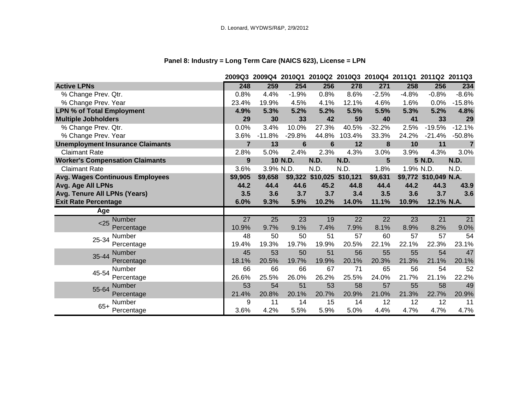# **Panel 8: Industry = Long Term Care (NAICS 623), License = LPN**

|                                         | 2009Q3          | 2009Q4 2010Q1 2010Q2 2010Q3 2010Q4 2011Q1 2011Q2 2011Q3 |                 |                           |                 |                 |           |                       |                 |
|-----------------------------------------|-----------------|---------------------------------------------------------|-----------------|---------------------------|-----------------|-----------------|-----------|-----------------------|-----------------|
| <b>Active LPNs</b>                      | 248             | 259                                                     | 254             | 256                       | 278             | 271             | 258       | 256                   | 234             |
| % Change Prev. Qtr.                     | 0.8%            | 4.4%                                                    | $-1.9%$         | 0.8%                      | 8.6%            | $-2.5%$         | $-4.8%$   | $-0.8%$               | $-8.6%$         |
| % Change Prev. Year                     | 23.4%           | 19.9%                                                   | 4.5%            | 4.1%                      | 12.1%           | 4.6%            | 1.6%      | 0.0%                  | $-15.8%$        |
| <b>LPN % of Total Employment</b>        | 4.9%            | 5.3%                                                    | 5.2%            | 5.2%                      | 5.5%            | 5.5%            | 5.3%      | 5.2%                  | 4.8%            |
| <b>Multiple Jobholders</b>              | 29              | 30                                                      | 33              | 42                        | 59              | 40              | 41        | 33                    | 29              |
| % Change Prev. Qtr.                     | 0.0%            | 3.4%                                                    | 10.0%           | 27.3%                     | 40.5%           | $-32.2%$        | 2.5%      | $-19.5%$              | $-12.1%$        |
| % Change Prev. Year                     | 3.6%            | $-11.8%$                                                | $-29.8%$        | 44.8%                     | 103.4%          | 33.3%           | 24.2%     | $-21.4%$              | $-50.8%$        |
| <b>Unemployment Insurance Claimants</b> | $\overline{7}$  | 13                                                      | $6\phantom{1}6$ | $6\phantom{1}$            | 12              | 8               | 10        | 11                    | $\overline{7}$  |
| <b>Claimant Rate</b>                    | 2.8%            | 5.0%                                                    | 2.4%            | 2.3%                      | 4.3%            | 3.0%            | 3.9%      | 4.3%                  | 3.0%            |
| <b>Worker's Compensation Claimants</b>  | 9               |                                                         | 10 N.D.         | N.D.                      | N.D.            | 5               |           | 5 N.D.                | N.D.            |
| <b>Claimant Rate</b>                    | 3.6%            | 3.9% N.D.                                               |                 | N.D.                      | N.D.            | 1.8%            | 1.9% N.D. |                       | N.D.            |
| <b>Avg. Wages Continuous Employees</b>  | \$9,905         | \$9,658                                                 |                 | \$9,322 \$10,025 \$10,121 |                 | \$9,631         |           | \$9,772 \$10,049 N.A. |                 |
| Avg. Age All LPNs                       | 44.2            | 44.4                                                    | 44.6            | 45.2                      | 44.8            | 44.4            | 44.2      | 44.3                  | 43.9            |
| Avg. Tenure All LPNs (Years)            | 3.5             | 3.6                                                     | 3.7             | 3.7                       | 3.4             | 3.5             | 3.6       | 3.7                   | 3.6             |
| <b>Exit Rate Percentage</b>             | 6.0%            | 9.3%                                                    | 5.9%            | 10.2%                     | 14.0%           | 11.1%           | 10.9%     | 12.1% N.A.            |                 |
| Age                                     |                 |                                                         |                 |                           |                 |                 |           |                       |                 |
| Number<br>$25$                          | $\overline{27}$ | 25                                                      | 23              | 19                        | $\overline{22}$ | $\overline{22}$ | 23        | $\overline{21}$       | $\overline{21}$ |
| Percentage                              | 10.9%           | 9.7%                                                    | 9.1%            | 7.4%                      | 7.9%            | 8.1%            | 8.9%      | 8.2%                  | 9.0%            |
| Number<br>25-34                         | 48              | 50                                                      | 50              | 51                        | 57              | 60              | 57        | 57                    | 54              |
| Percentage                              | 19.4%           | 19.3%                                                   | 19.7%           | 19.9%                     | 20.5%           | 22.1%           | 22.1%     | 22.3%                 | 23.1%           |
| <b>Number</b><br>35-44                  | 45              | 53                                                      | 50              | 51                        | 56              | 55              | 55        | 54                    | 47              |
| Percentage                              | 18.1%           | 20.5%                                                   | 19.7%           | 19.9%                     | 20.1%           | 20.3%           | 21.3%     | 21.1%                 | 20.1%           |
| Number<br>45-54                         | 66              | 66                                                      | 66              | 67                        | 71              | 65              | 56        | 54                    | 52              |
| Percentage                              | 26.6%           | 25.5%                                                   | 26.0%           | 26.2%                     | 25.5%           | 24.0%           | 21.7%     | 21.1%                 | 22.2%           |
| Number<br>55-64                         | 53              | 54                                                      | 51              | 53                        | 58              | 57              | 55        | 58                    | 49              |
| Percentage                              | 21.4%           | 20.8%                                                   | 20.1%           | 20.7%                     | 20.9%           | 21.0%           | 21.3%     | 22.7%                 | 20.9%           |
| <b>Number</b>                           | 9               | 11                                                      | 14              | 15                        | 14              | 12              | 12        | 12                    | 11              |
| $65+$<br>Percentage                     | 3.6%            | 4.2%                                                    | 5.5%            | 5.9%                      | 5.0%            | 4.4%            | 4.7%      | 4.7%                  | 4.7%            |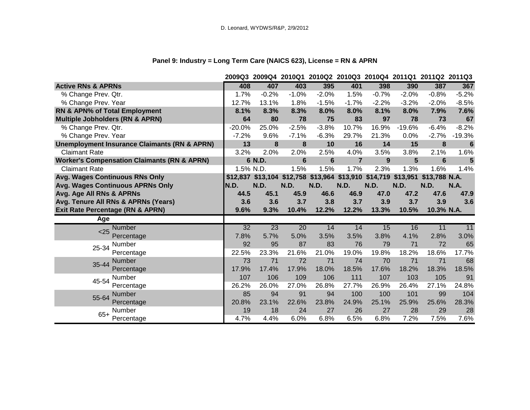# **Panel 9: Industry = Long Term Care (NAICS 623), License = RN & APRN**

|                                                         | 2009Q3          | 2009Q4 2010Q1 2010Q2 2010Q3 2010Q4 2011Q1 2011Q2 2011Q3 |                 |             |                |         |          |               |             |
|---------------------------------------------------------|-----------------|---------------------------------------------------------|-----------------|-------------|----------------|---------|----------|---------------|-------------|
| <b>Active RNs &amp; APRNs</b>                           | 408             | 407                                                     | 403             | 395         | 401            | 398     | 390      | 387           | 367         |
| % Change Prev. Qtr.                                     | 1.7%            | $-0.2%$                                                 | $-1.0%$         | $-2.0%$     | 1.5%           | $-0.7%$ | $-2.0%$  | $-0.8%$       | $-5.2%$     |
| % Change Prev. Year                                     | 12.7%           | 13.1%                                                   | 1.8%            | $-1.5%$     | $-1.7%$        | $-2.2%$ | $-3.2%$  | $-2.0%$       | $-8.5%$     |
| RN & APN% of Total Employment                           | 8.1%            | 8.3%                                                    | 8.3%            | 8.0%        | 8.0%           | 8.1%    | 8.0%     | 7.9%          | 7.6%        |
| <b>Multiple Jobholders (RN &amp; APRN)</b>              | 64              | 80                                                      | 78              | 75          | 83             | 97      | 78       | 73            | 67          |
| % Change Prev. Qtr.                                     | $-20.0%$        | 25.0%                                                   | $-2.5%$         | $-3.8%$     | 10.7%          | 16.9%   | $-19.6%$ | $-6.4%$       | $-8.2%$     |
| % Change Prev. Year                                     | $-7.2%$         | 9.6%                                                    | $-7.1%$         | $-6.3%$     | 29.7%          | 21.3%   | 0.0%     | $-2.7%$       | $-19.3%$    |
| <b>Unemployment Insurance Claimants (RN &amp; APRN)</b> | 13              | 8                                                       | 8               | 10          | 16             | 14      | 15       | 8             | 6           |
| <b>Claimant Rate</b>                                    | 3.2%            | 2.0%                                                    | 2.0%            | 2.5%        | 4.0%           | 3.5%    | 3.8%     | 2.1%          | 1.6%        |
| <b>Worker's Compensation Claimants (RN &amp; APRN)</b>  |                 | 6 N.D.                                                  | $6\phantom{1}6$ | 6           | $\overline{7}$ | 9       | 5        | 6             | 5           |
| <b>Claimant Rate</b>                                    | 1.5% N.D.       |                                                         | 1.5%            | 1.5%        | 1.7%           | 2.3%    | 1.3%     | 1.6%          | 1.4%        |
| <b>Avg. Wages Continuous RNs Only</b>                   |                 | \$12,837 \$13,104 \$12,758 \$13,964 \$13,910 \$14,719   |                 |             |                |         | \$13,951 | \$13,788 N.A. |             |
| Avg. Wages Continuous APRNs Only                        | N.D.            | N.D.                                                    | N.D.            | <b>N.D.</b> | N.D.           | N.D.    | N.D.     | N.D.          | <b>N.A.</b> |
| Avg. Age All RNs & APRNs                                | 44.5            | 45.1                                                    | 45.9            | 46.6        | 46.9           | 47.0    | 47.2     | 47.6          | 47.9        |
| Avg. Tenure All RNs & APRNs (Years)                     | 3.6             | 3.6                                                     | 3.7             | 3.8         | 3.7            | 3.9     | 3.7      | 3.9           | 3.6         |
| <b>Exit Rate Percentage (RN &amp; APRN)</b>             | 9.6%            | 9.3%                                                    | 10.4%           | 12.2%       | 12.2%          | 13.3%   | 10.5%    | 10.3% N.A.    |             |
| Age                                                     |                 |                                                         |                 |             |                |         |          |               |             |
| <b>Number</b><br>< 25                                   | $\overline{32}$ | 23                                                      | $\overline{20}$ | 14          | 14             | 15      | 16       | 11            | 11          |
| Percentage                                              | 7.8%            | 5.7%                                                    | 5.0%            | 3.5%        | 3.5%           | 3.8%    | 4.1%     | 2.8%          | 3.0%        |
| Number<br>25-34                                         | 92              | 95                                                      | 87              | 83          | 76             | 79      | 71       | 72            | 65          |
| Percentage                                              | 22.5%           | 23.3%                                                   | 21.6%           | 21.0%       | 19.0%          | 19.8%   | 18.2%    | 18.6%         | 17.7%       |
| <b>Number</b><br>35-44                                  | 73              | 71                                                      | 72              | 71          | 74             | 70      | 71       | 71            | 68          |
| Percentage                                              | 17.9%           | 17.4%                                                   | 17.9%           | 18.0%       | 18.5%          | 17.6%   | 18.2%    | 18.3%         | 18.5%       |
| <b>Number</b><br>45-54                                  | 107             | 106                                                     | 109             | 106         | 111            | 107     | 103      | 105           | 91          |
| Percentage                                              | 26.2%           | 26.0%                                                   | 27.0%           | 26.8%       | 27.7%          | 26.9%   | 26.4%    | 27.1%         | 24.8%       |
| <b>Number</b><br>55-64                                  | 85              | 94                                                      | 91              | 94          | 100            | 100     | 101      | 99            | 104         |
| Percentage                                              | 20.8%           | 23.1%                                                   | 22.6%           | 23.8%       | 24.9%          | 25.1%   | 25.9%    | 25.6%         | 28.3%       |
| Number<br>$65+$                                         | 19              | 18                                                      | 24              | 27          | 26             | 27      | 28       | 29            | 28          |
|                                                         |                 |                                                         |                 |             |                |         |          |               |             |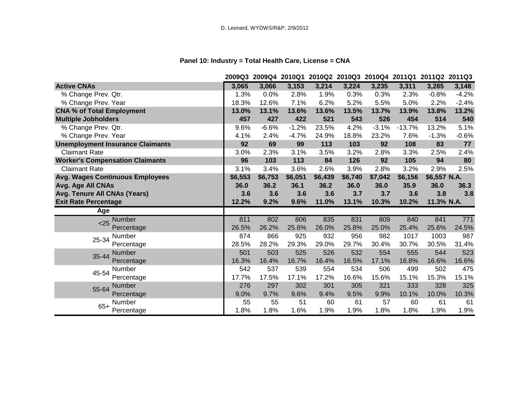# **Panel 10: Industry = Total Health Care, License = CNA**

|                                         |         | 2009Q3 2009Q4 2010Q1 2010Q2 2010Q3 2010Q4 2011Q1 2011Q2 2011Q3 |         |         |         |         |          |              |         |
|-----------------------------------------|---------|----------------------------------------------------------------|---------|---------|---------|---------|----------|--------------|---------|
| <b>Active CNAs</b>                      | 3,065   | 3,066                                                          | 3,153   | 3,214   | 3,224   | 3,235   | 3,311    | 3,285        | 3,148   |
| % Change Prev. Qtr.                     | 1.3%    | 0.0%                                                           | 2.8%    | 1.9%    | 0.3%    | 0.3%    | 2.3%     | $-0.8%$      | $-4.2%$ |
| % Change Prev. Year                     | 18.3%   | 12.6%                                                          | 7.1%    | 6.2%    | 5.2%    | 5.5%    | 5.0%     | 2.2%         | $-2.4%$ |
| <b>CNA % of Total Employment</b>        | 13.0%   | 13.1%                                                          | 13.6%   | 13.6%   | 13.5%   | 13.7%   | 13.9%    | 13.8%        | 13.2%   |
| <b>Multiple Jobholders</b>              | 457     | 427                                                            | 422     | 521     | 543     | 526     | 454      | 514          | 540     |
| % Change Prev. Qtr.                     | 9.6%    | $-6.6%$                                                        | $-1.2%$ | 23.5%   | 4.2%    | $-3.1%$ | $-13.7%$ | 13.2%        | 5.1%    |
| % Change Prev. Year                     | 4.1%    | 2.4%                                                           | $-4.7%$ | 24.9%   | 18.8%   | 23.2%   | 7.6%     | $-1.3%$      | $-0.6%$ |
| <b>Unemployment Insurance Claimants</b> | 92      | 69                                                             | 99      | 113     | 103     | 92      | 108      | 83           | 77      |
| <b>Claimant Rate</b>                    | 3.0%    | 2.3%                                                           | 3.1%    | 3.5%    | 3.2%    | 2.8%    | 3.3%     | 2.5%         | 2.4%    |
| <b>Worker's Compensation Claimants</b>  | 96      | 103                                                            | 113     | 84      | 126     | 92      | 105      | 94           | 80      |
| <b>Claimant Rate</b>                    | 3.1%    | 3.4%                                                           | 3.6%    | 2.6%    | 3.9%    | 2.8%    | 3.2%     | 2.9%         | 2.5%    |
| <b>Avg. Wages Continuous Employees</b>  | \$6,553 | \$6,753                                                        | \$6,051 | \$6,439 | \$6,740 | \$7,042 | \$6,156  | \$6,557 N.A. |         |
| Avg. Age All CNAs                       | 36.0    | 36.2                                                           | 36.1    | 36.2    | 36.0    | 36.0    | 35.9     | 36.0         | 36.3    |
| Avg. Tenure All CNAs (Years)            | 3.6     | 3.6                                                            | 3.6     | 3.6     | 3.7     | 3.7     | 3.6      | 3.8          | 3.8     |
| <b>Exit Rate Percentage</b>             | 12.2%   | 9.2%                                                           | 9.6%    | 11.0%   | 13.1%   | 10.3%   | 10.2%    | 11.3% N.A.   |         |
| Age                                     |         |                                                                |         |         |         |         |          |              |         |
| <b>Number</b><br>$25$                   | 811     | 802                                                            | 806     | 835     | 831     | 809     | 840      | 841          | 771     |
| Percentage                              | 26.5%   | 26.2%                                                          | 25.6%   | 26.0%   | 25.8%   | 25.0%   | 25.4%    | 25.6%        | 24.5%   |
| Number<br>25-34                         | 874     | 866                                                            | 925     | 932     | 956     | 982     | 1017     | 1003         | 987     |
| Percentage                              | 28.5%   | 28.2%                                                          | 29.3%   | 29.0%   | 29.7%   | 30.4%   | 30.7%    | 30.5%        | 31.4%   |
| Number<br>35-44                         | 501     | 503                                                            | 525     | 526     | 532     | 554     | 555      | 544          | 523     |
| Percentage                              | 16.3%   | 16.4%                                                          | 16.7%   | 16.4%   | 16.5%   | 17.1%   | 16.8%    | 16.6%        | 16.6%   |
| Number<br>45-54                         | 542     | 537                                                            | 539     | 554     | 534     | 506     | 499      | 502          | 475     |
| Percentage                              | 17.7%   | 17.5%                                                          | 17.1%   | 17.2%   | 16.6%   | 15.6%   | 15.1%    | 15.3%        | 15.1%   |
| Number<br>55-64                         | 276     | 297                                                            | 302     | 301     | 305     | 321     | 333      | 328          | 325     |
| Percentage                              | 9.0%    | 9.7%                                                           | 9.6%    | 9.4%    | 9.5%    | 9.9%    | 10.1%    | 10.0%        | 10.3%   |
| Number<br>$65+$                         | 55      | 55                                                             | 51      | 60      | 61      | 57      | 60       | 61           | 61      |
| Percentage                              | 1.8%    | 1.8%                                                           | 1.6%    | 1.9%    | 1.9%    | 1.8%    | 1.8%     | 1.9%         | 1.9%    |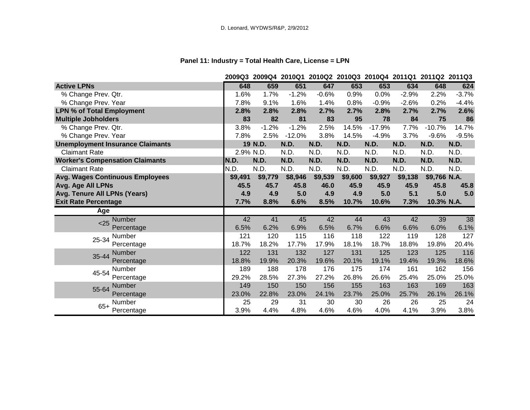# **Panel 11: Industry = Total Health Care, License = LPN**

|                                         |           | 2009Q3 2009Q4 2010Q1 2010Q2 2010Q3 2010Q4 2011Q1 2011Q2 2011Q3 |          |         |             |          |         |              |         |
|-----------------------------------------|-----------|----------------------------------------------------------------|----------|---------|-------------|----------|---------|--------------|---------|
| <b>Active LPNs</b>                      | 648       | 659                                                            | 651      | 647     | 653         | 653      | 634     | 648          | 624     |
| % Change Prev. Qtr.                     | 1.6%      | 1.7%                                                           | $-1.2%$  | $-0.6%$ | 0.9%        | 0.0%     | $-2.9%$ | 2.2%         | $-3.7%$ |
| % Change Prev. Year                     | 7.8%      | 9.1%                                                           | 1.6%     | 1.4%    | 0.8%        | $-0.9%$  | $-2.6%$ | 0.2%         | $-4.4%$ |
| <b>LPN % of Total Employment</b>        | 2.8%      | 2.8%                                                           | 2.8%     | 2.7%    | 2.7%        | 2.8%     | 2.7%    | 2.7%         | 2.6%    |
| <b>Multiple Jobholders</b>              | 83        | 82                                                             | 81       | 83      | 95          | 78       | 84      | 75           | 86      |
| % Change Prev. Qtr.                     | 3.8%      | $-1.2%$                                                        | $-1.2%$  | 2.5%    | 14.5%       | $-17.9%$ | 7.7%    | $-10.7%$     | 14.7%   |
| % Change Prev. Year                     | 7.8%      | 2.5%                                                           | $-12.0%$ | 3.8%    | 14.5%       | $-4.9%$  | 3.7%    | $-9.6%$      | $-9.5%$ |
| <b>Unemployment Insurance Claimants</b> |           | 19 N.D.                                                        | N.D.     | N.D.    | N.D.        | N.D.     | N.D.    | N.D.         | N.D.    |
| <b>Claimant Rate</b>                    | 2.9% N.D. |                                                                | N.D.     | N.D.    | N.D.        | N.D.     | N.D.    | N.D.         | N.D.    |
| <b>Worker's Compensation Claimants</b>  | N.D.      | N.D.                                                           | N.D.     | N.D.    | <b>N.D.</b> | N.D.     | N.D.    | N.D.         | N.D.    |
| <b>Claimant Rate</b>                    | N.D.      | N.D.                                                           | N.D.     | N.D.    | N.D.        | N.D.     | N.D.    | N.D.         | N.D.    |
| <b>Avg. Wages Continuous Employees</b>  | \$9,491   | \$9,779                                                        | \$8,946  | \$9,539 | \$9,600     | \$9,927  | \$9,138 | \$9,766 N.A. |         |
| Avg. Age All LPNs                       | 45.5      | 45.7                                                           | 45.8     | 46.0    | 45.9        | 45.9     | 45.9    | 45.8         | 45.8    |
| Avg. Tenure All LPNs (Years)            | 4.9       | 4.9                                                            | 5.0      | 4.9     | 4.9         | 5.0      | 5.1     | 5.0          | 5.0     |
| <b>Exit Rate Percentage</b>             | 7.7%      | 8.8%                                                           | 6.6%     | 8.5%    | 10.7%       | 10.6%    | 7.3%    | 10.3% N.A.   |         |
| Age                                     |           |                                                                |          |         |             |          |         |              |         |
| Number<br>$25$                          | 42        | 41                                                             | 45       | 42      | 44          | 43       | 42      | 39           | 38      |
| Percentage                              | 6.5%      | 6.2%                                                           | 6.9%     | 6.5%    | 6.7%        | 6.6%     | 6.6%    | 6.0%         | 6.1%    |
| Number<br>25-34                         | 121       | 120                                                            | 115      | 116     | 118         | 122      | 119     | 128          | 127     |
| Percentage                              | 18.7%     | 18.2%                                                          | 17.7%    | 17.9%   | 18.1%       | 18.7%    | 18.8%   | 19.8%        | 20.4%   |
| <b>Number</b><br>35-44                  | 122       | 131                                                            | 132      | 127     | 131         | 125      | 123     | 125          | 116     |
| Percentage                              | 18.8%     | 19.9%                                                          | 20.3%    | 19.6%   | 20.1%       | 19.1%    | 19.4%   | 19.3%        | 18.6%   |
| Number<br>45-54                         | 189       | 188                                                            | 178      | 176     | 175         | 174      | 161     | 162          | 156     |
| Percentage                              | 29.2%     | 28.5%                                                          | 27.3%    | 27.2%   | 26.8%       | 26.6%    | 25.4%   | 25.0%        | 25.0%   |
| Number<br>55-64                         | 149       | 150                                                            | 150      | 156     | 155         | 163      | 163     | 169          | 163     |
| Percentage                              | 23.0%     | 22.8%                                                          | 23.0%    | 24.1%   | 23.7%       | 25.0%    | 25.7%   | 26.1%        | 26.1%   |
| Number<br>$65+$                         | 25        | 29                                                             | 31       | 30      | 30          | 26       | 26      | 25           | 24      |
| Percentage                              | 3.9%      | 4.4%                                                           | 4.8%     | 4.6%    | 4.6%        | 4.0%     | 4.1%    | 3.9%         | 3.8%    |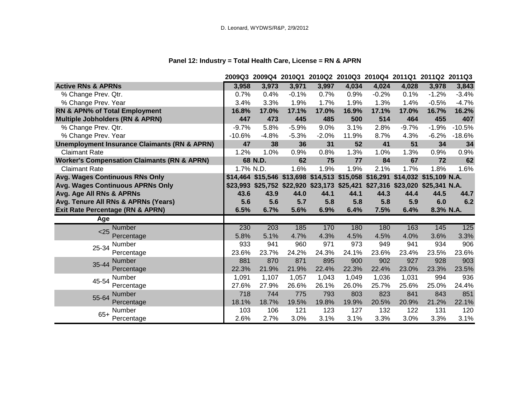# **Panel 12: Industry = Total Health Care, License = RN & APRN**

|                                                         |           |         |         |         |       |         |         | 2009Q3 2009Q4 2010Q1 2010Q2 2010Q3 2010Q4 2011Q1 2011Q2 2011Q3               |          |
|---------------------------------------------------------|-----------|---------|---------|---------|-------|---------|---------|------------------------------------------------------------------------------|----------|
| <b>Active RNs &amp; APRNs</b>                           | 3,958     | 3,973   | 3,971   | 3,997   | 4,034 | 4,024   | 4,028   | 3,978                                                                        | 3,843    |
| % Change Prev. Qtr.                                     | 0.7%      | 0.4%    | $-0.1%$ | 0.7%    | 0.9%  | $-0.2%$ | 0.1%    | $-1.2%$                                                                      | $-3.4%$  |
| % Change Prev. Year                                     | 3.4%      | 3.3%    | 1.9%    | 1.7%    | 1.9%  | 1.3%    | 1.4%    | $-0.5%$                                                                      | $-4.7%$  |
| RN & APN% of Total Employment                           | 16.8%     | 17.0%   | 17.1%   | 17.0%   | 16.9% | 17.1%   | 17.0%   | 16.7%                                                                        | 16.2%    |
| <b>Multiple Jobholders (RN &amp; APRN)</b>              | 447       | 473     | 445     | 485     | 500   | 514     | 464     | 455                                                                          | 407      |
| % Change Prev. Qtr.                                     | $-9.7%$   | 5.8%    | $-5.9%$ | 9.0%    | 3.1%  | 2.8%    | $-9.7%$ | $-1.9%$                                                                      | $-10.5%$ |
| % Change Prev. Year                                     | $-10.6%$  | $-4.8%$ | $-5.3%$ | $-2.0%$ | 11.9% | 8.7%    | 4.3%    | $-6.2%$                                                                      | $-18.6%$ |
| <b>Unemployment Insurance Claimants (RN &amp; APRN)</b> | 47        | 38      | 36      | 31      | 52    | 41      | 51      | 34                                                                           | 34       |
| <b>Claimant Rate</b>                                    | 1.2%      | 1.0%    | 0.9%    | 0.8%    | 1.3%  | 1.0%    | 1.3%    | 0.9%                                                                         | 0.9%     |
| <b>Worker's Compensation Claimants (RN &amp; APRN)</b>  |           | 68 N.D. | 62      | 75      | 77    | 84      | 67      | 72                                                                           | 62       |
| <b>Claimant Rate</b>                                    | 1.7% N.D. |         | 1.6%    | 1.9%    | 1.9%  | 2.1%    | 1.7%    | 1.8%                                                                         | 1.6%     |
| <b>Avg. Wages Continuous RNs Only</b>                   |           |         |         |         |       |         |         | \$14,464 \$15,546 \$13,698 \$14,513 \$15,058 \$16,291 \$14,032 \$15,109 N.A. |          |
| Avg. Wages Continuous APRNs Only                        |           |         |         |         |       |         |         | \$23,993 \$25,752 \$22,920 \$23,173 \$25,421 \$27,316 \$23,020 \$25,341 N.A. |          |
| Avg. Age All RNs & APRNs                                | 43.6      | 43.9    | 44.0    | 44.1    | 44.1  | 44.3    | 44.4    | 44.5                                                                         | 44.7     |
| Avg. Tenure All RNs & APRNs (Years)                     | 5.6       | 5.6     | 5.7     | 5.8     | 5.8   | 5.8     | 5.9     | 6.0                                                                          | 6.2      |
| <b>Exit Rate Percentage (RN &amp; APRN)</b>             | 6.5%      | 6.7%    | 5.6%    | 6.9%    | 6.4%  | 7.5%    | 6.4%    | 8.3% N.A.                                                                    |          |
| Age                                                     |           |         |         |         |       |         |         |                                                                              |          |
| <b>Number</b><br>< 25                                   | 230       | 203     | 185     | 170     | 180   | 180     | 163     | 145                                                                          | 125      |
| Percentage                                              | 5.8%      | 5.1%    | 4.7%    | 4.3%    | 4.5%  | 4.5%    | 4.0%    | 3.6%                                                                         | 3.3%     |
| Number<br>25-34                                         |           |         |         |         |       |         |         |                                                                              |          |
|                                                         | 933       | 941     | 960     | 971     | 973   | 949     | 941     | 934                                                                          | 906      |
| Percentage                                              | 23.6%     | 23.7%   | 24.2%   | 24.3%   | 24.1% | 23.6%   | 23.4%   | 23.5%                                                                        | 23.6%    |
| Number                                                  | 881       | 870     | 871     | 895     | 900   | 902     | 927     | 928                                                                          | 903      |
| 35-44<br>Percentage                                     | 22.3%     | 21.9%   | 21.9%   | 22.4%   | 22.3% | 22.4%   | 23.0%   | 23.3%                                                                        | 23.5%    |
| Number                                                  | 1,091     | 1,107   | 1,057   | 1,043   | 1,049 | 1,036   | 1,031   | 994                                                                          | 936      |
| 45-54<br>Percentage                                     | 27.6%     | 27.9%   | 26.6%   | 26.1%   | 26.0% | 25.7%   | 25.6%   | 25.0%                                                                        | 24.4%    |
| <b>Number</b>                                           | 718       | 744     | 775     | 793     | 803   | 823     | 841     | 843                                                                          | 851      |
| 55-64<br>Percentage                                     | 18.1%     | 18.7%   | 19.5%   | 19.8%   | 19.9% | 20.5%   | 20.9%   | 21.2%                                                                        | 22.1%    |
| Number<br>$65+$                                         | 103       | 106     | 121     | 123     | 127   | 132     | 122     | 131                                                                          | 120      |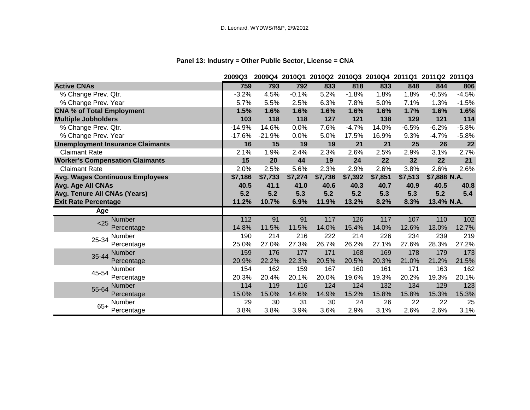# **Panel 13: Industry = Other Public Sector, License = CNA**

|                                         | 2009Q3   | 2009Q4   |         |         | 2010Q1 2010Q2 2010Q3 2010Q4 2011Q1 2011Q2 2011Q3 |         |         |              |         |
|-----------------------------------------|----------|----------|---------|---------|--------------------------------------------------|---------|---------|--------------|---------|
| <b>Active CNAs</b>                      | 759      | 793      | 792     | 833     | 818                                              | 833     | 848     | 844          | 806     |
| % Change Prev. Qtr.                     | $-3.2%$  | 4.5%     | $-0.1%$ | 5.2%    | $-1.8%$                                          | 1.8%    | 1.8%    | $-0.5%$      | $-4.5%$ |
| % Change Prev. Year                     | 5.7%     | 5.5%     | 2.5%    | 6.3%    | 7.8%                                             | 5.0%    | 7.1%    | 1.3%         | $-1.5%$ |
| <b>CNA % of Total Employment</b>        | 1.5%     | 1.6%     | 1.6%    | 1.6%    | 1.6%                                             | 1.6%    | 1.7%    | 1.6%         | 1.6%    |
| <b>Multiple Jobholders</b>              | 103      | 118      | 118     | 127     | 121                                              | 138     | 129     | 121          | 114     |
| % Change Prev. Qtr.                     | $-14.9%$ | 14.6%    | 0.0%    | 7.6%    | $-4.7%$                                          | 14.0%   | $-6.5%$ | $-6.2%$      | $-5.8%$ |
| % Change Prev. Year                     | $-17.6%$ | $-21.9%$ | 0.0%    | 5.0%    | 17.5%                                            | 16.9%   | 9.3%    | $-4.7%$      | $-5.8%$ |
| <b>Unemployment Insurance Claimants</b> | 16       | 15       | 19      | 19      | 21                                               | 21      | 25      | 26           | 22      |
| <b>Claimant Rate</b>                    | 2.1%     | 1.9%     | 2.4%    | 2.3%    | 2.6%                                             | 2.5%    | 2.9%    | 3.1%         | 2.7%    |
| <b>Worker's Compensation Claimants</b>  | 15       | 20       | 44      | 19      | 24                                               | 22      | 32      | 22           | 21      |
| <b>Claimant Rate</b>                    | 2.0%     | 2.5%     | 5.6%    | 2.3%    | 2.9%                                             | 2.6%    | 3.8%    | 2.6%         | 2.6%    |
| <b>Avg. Wages Continuous Employees</b>  | \$7,186  | \$7,733  | \$7,274 | \$7,736 | \$7,392                                          | \$7,851 | \$7,513 | \$7,888 N.A. |         |
| Avg. Age All CNAs                       | 40.5     | 41.1     | 41.0    | 40.6    | 40.3                                             | 40.7    | 40.9    | 40.5         | 40.8    |
| Avg. Tenure All CNAs (Years)            | 5.2      | 5.2      | 5.3     | 5.2     | 5.2                                              | 5.3     | 5.3     | 5.2          | 5.4     |
| <b>Exit Rate Percentage</b>             | 11.2%    | 10.7%    | 6.9%    | 11.9%   | 13.2%                                            | 8.2%    | 8.3%    | 13.4% N.A.   |         |
| Age                                     |          |          |         |         |                                                  |         |         |              |         |
| Number<br>< 25                          | 112      | 91       | 91      | 117     | 126                                              | 117     | 107     | 110          | 102     |
| Percentage                              | 14.8%    | 11.5%    | 11.5%   | 14.0%   | 15.4%                                            | 14.0%   | 12.6%   | 13.0%        | 12.7%   |
| Number<br>25-34                         | 190      | 214      | 216     | 222     | 214                                              | 226     | 234     | 239          | 219     |
| Percentage                              | 25.0%    | 27.0%    | 27.3%   | 26.7%   | 26.2%                                            | 27.1%   | 27.6%   | 28.3%        | 27.2%   |
| <b>Number</b><br>35-44                  | 159      | 176      | 177     | 171     | 168                                              | 169     | 178     | 179          | 173     |
| Percentage                              | 20.9%    | 22.2%    | 22.3%   | 20.5%   | 20.5%                                            | 20.3%   | 21.0%   | 21.2%        | 21.5%   |
| Number<br>45-54                         | 154      | 162      | 159     | 167     | 160                                              | 161     | 171     | 163          | 162     |
| Percentage                              | 20.3%    | 20.4%    | 20.1%   | 20.0%   | 19.6%                                            | 19.3%   | 20.2%   | 19.3%        | 20.1%   |
| Number<br>55-64                         | 114      | 119      | 116     | 124     | 124                                              | 132     | 134     | 129          | 123     |
| Percentage                              | 15.0%    | 15.0%    | 14.6%   | 14.9%   | 15.2%                                            | 15.8%   | 15.8%   | 15.3%        | 15.3%   |
| Number<br>$65+$                         | 29       | 30       | 31      | 30      | 24                                               | 26      | 22      | 22           | 25      |
| Percentage                              | 3.8%     | 3.8%     | 3.9%    | 3.6%    | 2.9%                                             | 3.1%    | 2.6%    | 2.6%         | 3.1%    |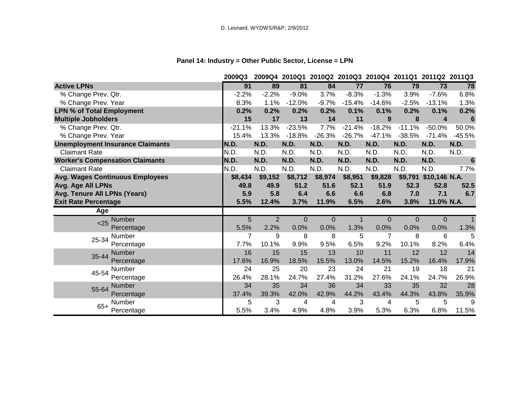# **Panel 14: Industry = Other Public Sector, License = LPN**

|                                         | 2009Q3   | 2009Q4      |             |          |             |          | 2010Q1 2010Q2 2010Q3 2010Q4 2011Q1 2011Q2 2011Q3 |                 |          |
|-----------------------------------------|----------|-------------|-------------|----------|-------------|----------|--------------------------------------------------|-----------------|----------|
| <b>Active LPNs</b>                      | 91       | 89          | 81          | 84       | 77          | 76       | 79                                               | $\overline{73}$ | 78       |
| % Change Prev. Qtr.                     | $-2.2%$  | $-2.2%$     | $-9.0%$     | 3.7%     | $-8.3%$     | $-1.3%$  | 3.9%                                             | $-7.6%$         | 6.8%     |
| % Change Prev. Year                     | 8.3%     | 1.1%        | $-12.0%$    | $-9.7%$  | $-15.4%$    | $-14.6%$ | $-2.5%$                                          | $-13.1%$        | 1.3%     |
| <b>LPN % of Total Employment</b>        | 0.2%     | 0.2%        | 0.2%        | 0.2%     | 0.1%        | 0.1%     | 0.2%                                             | 0.1%            | 0.2%     |
| <b>Multiple Jobholders</b>              | 15       | 17          | 13          | 14       | 11          | 9        | 8                                                | 4               | 6        |
| % Change Prev. Qtr.                     | $-21.1%$ | 13.3%       | $-23.5%$    | 7.7%     | $-21.4%$    | $-18.2%$ | $-11.1%$                                         | $-50.0%$        | 50.0%    |
| % Change Prev. Year                     | 15.4%    | 13.3%       | $-18.8%$    | $-26.3%$ | $-26.7%$    | $-47.1%$ | $-38.5%$                                         | $-71.4%$        | $-45.5%$ |
| <b>Unemployment Insurance Claimants</b> | N.D.     | <b>N.D.</b> | N.D.        | N.D.     | N.D.        | N.D.     | N.D.                                             | N.D.            | N.D.     |
| <b>Claimant Rate</b>                    | N.D.     | N.D.        | N.D.        | N.D.     | N.D.        | N.D.     | N.D.                                             | N.D.            | N.D.     |
| <b>Worker's Compensation Claimants</b>  | N.D.     | N.D.        | N.D.        | N.D.     | <b>N.D.</b> | N.D.     | N.D.                                             | N.D.            | 6        |
| <b>Claimant Rate</b>                    | N.D.     | N.D.        | N.D.        | N.D.     | N.D.        | N.D.     | N.D.                                             | N.D.            | 7.7%     |
| <b>Avg. Wages Continuous Employees</b>  | \$8,434  | \$9,152     | \$8,712     | \$8,974  | \$8,951     | \$9,828  | \$9,791                                          | \$10,146 N.A.   |          |
| Avg. Age All LPNs                       | 49.8     | 49.9        | 51.2        | 51.6     | 52.1        | 51.9     | 52.3                                             | 52.8            | 52.5     |
| Avg. Tenure All LPNs (Years)            | 5.9      | 5.8         | 6.4         | 6.6      | 6.6         | 6.8      | 7.0                                              | 7.1             | 6.7      |
| <b>Exit Rate Percentage</b>             | 5.5%     | 12.4%       | 3.7%        | 11.9%    | 6.5%        | 2.6%     | 3.8%                                             | 11.0% N.A.      |          |
| Age                                     |          |             |             |          |             |          |                                                  |                 |          |
| Number<br>< 25                          | 5        | 2           | $\mathbf 0$ | 0        |             | 0        | 0                                                | $\overline{0}$  |          |
| Percentage                              | 5.5%     | 2.2%        | 0.0%        | 0.0%     | 1.3%        | 0.0%     | 0.0%                                             | 0.0%            | 1.3%     |
| Number<br>25-34                         | 7        | 9           | 8           | 8        | 5           | 7        | 8                                                | 6               | 5        |
| Percentage                              | 7.7%     | 10.1%       | 9.9%        | 9.5%     | 6.5%        | 9.2%     | 10.1%                                            | 8.2%            | 6.4%     |
| Number<br>35-44                         | 16       | 15          | 15          | 13       | 10          | 11       | 12                                               | 12              | 14       |
| Percentage                              | 17.6%    | 16.9%       | 18.5%       | 15.5%    | 13.0%       | 14.5%    | 15.2%                                            | 16.4%           | 17.9%    |
| Number<br>45-54                         | 24       | 25          | 20          | 23       | 24          | 21       | 19                                               | 18              | 21       |
| Percentage                              | 26.4%    | 28.1%       | 24.7%       | 27.4%    | 31.2%       | 27.6%    | 24.1%                                            | 24.7%           | 26.9%    |
| Number<br>55-64                         | 34       | 35          | 34          | 36       | 34          | 33       | 35                                               | 32              | 28       |
| Percentage                              | 37.4%    | 39.3%       | 42.0%       | 42.9%    | 44.2%       | 43.4%    | 44.3%                                            | 43.8%           | 35.9%    |
| Number<br>$65+$                         | 5        | 3           | 4           | 4        | 3           | 4        | 5                                                | 5               | 9        |
| Percentage                              | 5.5%     | 3.4%        | 4.9%        | 4.8%     | 3.9%        | 5.3%     | 6.3%                                             | 6.8%            | 11.5%    |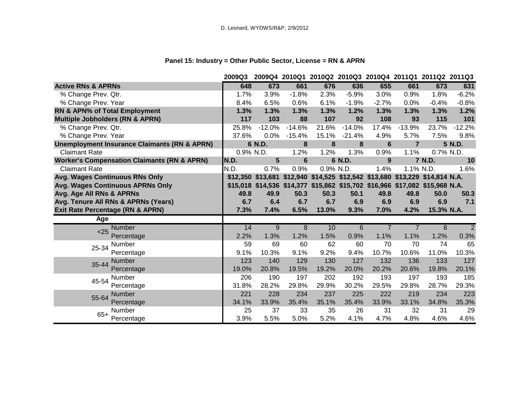# **Panel 15: Industry = Other Public Sector, License = RN & APRN**

|                                                         | 2009Q3    |                                                                              |                 |           | 2009Q4 2010Q1 2010Q2 2010Q3 2010Q4 2011Q1 2011Q2 2011Q3 |         |                |            |                |
|---------------------------------------------------------|-----------|------------------------------------------------------------------------------|-----------------|-----------|---------------------------------------------------------|---------|----------------|------------|----------------|
| <b>Active RNs &amp; APRNs</b>                           | 648       | 673                                                                          | 661             | 676       | 636                                                     | 655     | 661            | 673        | 631            |
| % Change Prev. Qtr.                                     | 1.7%      | 3.9%                                                                         | $-1.8%$         | 2.3%      | $-5.9%$                                                 | 3.0%    | 0.9%           | 1.8%       | $-6.2%$        |
| % Change Prev. Year                                     | 8.4%      | 6.5%                                                                         | 0.6%            | 6.1%      | $-1.9%$                                                 | $-2.7%$ | 0.0%           | $-0.4%$    | $-0.8%$        |
| RN & APN% of Total Employment                           | 1.3%      | 1.3%                                                                         | 1.3%            | 1.3%      | 1.2%                                                    | 1.3%    | 1.3%           | 1.3%       | 1.2%           |
| <b>Multiple Jobholders (RN &amp; APRN)</b>              | 117       | 103                                                                          | 88              | 107       | 92                                                      | 108     | 93             | 115        | 101            |
| % Change Prev. Qtr.                                     | 25.8%     | $-12.0%$                                                                     | $-14.6%$        | 21.6%     | $-14.0%$                                                | 17.4%   | $-13.9%$       | 23.7%      | $-12.2%$       |
| % Change Prev. Year                                     | 37.6%     | 0.0%                                                                         | $-15.4%$        | 15.1%     | $-21.4%$                                                | 4.9%    | 5.7%           | 7.5%       | 9.8%           |
| <b>Unemployment Insurance Claimants (RN &amp; APRN)</b> |           | 6 N.D.                                                                       | 8               | 8         | 8                                                       | 6       | $\overline{7}$ |            | 5 N.D.         |
| <b>Claimant Rate</b>                                    | 0.9% N.D. |                                                                              | 1.2%            | 1.2%      | 1.3%                                                    | 0.9%    | 1.1%           | 0.7% N.D.  |                |
| <b>Worker's Compensation Claimants (RN &amp; APRN)</b>  | N.D.      | 5                                                                            | $6\phantom{1}6$ |           | 6 N.D.                                                  | 9       |                | 7 N.D.     | 10             |
| <b>Claimant Rate</b>                                    | N.D.      | 0.7%                                                                         | 0.9%            | 0.9% N.D. |                                                         | 1.4%    | 1.1% N.D.      |            | 1.6%           |
| Avg. Wages Continuous RNs Only                          |           | \$12,350 \$13,681 \$12,940 \$14,525 \$12,542 \$13,680 \$13,229 \$14,814 N.A. |                 |           |                                                         |         |                |            |                |
| <b>Avg. Wages Continuous APRNs Only</b>                 |           | \$15,018 \$14,536 \$14,377 \$15,862 \$15,702 \$16,966 \$17,082 \$15,968 N.A. |                 |           |                                                         |         |                |            |                |
| Avg. Age All RNs & APRNs                                | 49.8      | 49.9                                                                         | 50.3            | 50.3      | 50.1                                                    | 49.8    | 49.8           | 50.0       | 50.3           |
| Avg. Tenure All RNs & APRNs (Years)                     | 6.7       | 6.4                                                                          | 6.7             | 6.7       | 6.9                                                     | 6.9     | 6.9            | 6.9        | 7.1            |
| Exit Rate Percentage (RN & APRN)                        | 7.3%      | 7.4%                                                                         | 6.5%            | 13.0%     | 9.3%                                                    | 7.0%    | 4.2%           | 15.3% N.A. |                |
| Age                                                     |           |                                                                              |                 |           |                                                         |         |                |            |                |
| <b>Number</b><br>< 25                                   | 14        | 9                                                                            | 8               | 10        | 6                                                       |         |                | 8          | $\overline{2}$ |
| Percentage                                              | 2.2%      | 1.3%                                                                         | 1.2%            | 1.5%      | 0.9%                                                    | 1.1%    | 1.1%           | 1.2%       | 0.3%           |
| Number<br>25-34                                         | 59        | 69                                                                           | 60              | 62        | 60                                                      | 70      | 70             | 74         | 65             |
| Percentage                                              | 9.1%      | 10.3%                                                                        | 9.1%            | 9.2%      | 9.4%                                                    | 10.7%   | 10.6%          | 11.0%      | 10.3%          |
| <b>Number</b><br>35-44                                  | 123       | 140                                                                          | 129             | 130       | 127                                                     | 132     | 136            | 133        | 127            |
| Percentage                                              | 19.0%     | 20.8%                                                                        | 19.5%           | 19.2%     | 20.0%                                                   | 20.2%   | 20.6%          | 19.8%      | 20.1%          |
| <b>Number</b><br>45-54                                  | 206       | 190                                                                          | 197             | 202       | 192                                                     | 193     | 197            | 193        | 185            |
| Percentage                                              | 31.8%     | 28.2%                                                                        | 29.8%           | 29.9%     | 30.2%                                                   | 29.5%   | 29.8%          | 28.7%      | 29.3%          |
| <b>Number</b><br>55-64                                  | 221       | 228                                                                          | 234             | 237       | 225                                                     | 222     | 219            | 234        | 223            |
| Percentage                                              | 34.1%     | 33.9%                                                                        | 35.4%           | 35.1%     | 35.4%                                                   | 33.9%   | 33.1%          | 34.8%      | 35.3%          |
| Number<br>$65+$                                         | 25        | 37                                                                           | 33              | 35        | 26                                                      | 31      | 32             | 31         | 29             |
| Percentage                                              | 3.9%      | 5.5%                                                                         | 5.0%            | 5.2%      | 4.1%                                                    | 4.7%    | 4.8%           | 4.6%       | 4.6%           |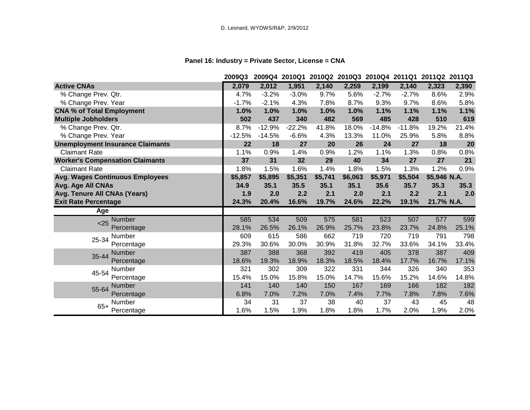# **Panel 16: Industry = Private Sector, License = CNA**

|                                         | 2009Q3   |          |          |         | 2009Q4 2010Q1 2010Q2 2010Q3 2010Q4 2011Q1 2011Q2 2011Q3 |          |          |              |       |
|-----------------------------------------|----------|----------|----------|---------|---------------------------------------------------------|----------|----------|--------------|-------|
| <b>Active CNAs</b>                      | 2,079    | 2,012    | 1,951    | 2,140   | 2,259                                                   | 2,199    | 2,140    | 2,323        | 2,390 |
| % Change Prev. Qtr.                     | 4.7%     | $-3.2%$  | $-3.0%$  | 9.7%    | 5.6%                                                    | $-2.7%$  | $-2.7%$  | 8.6%         | 2.9%  |
| % Change Prev. Year                     | $-1.7%$  | $-2.1%$  | 4.3%     | 7.8%    | 8.7%                                                    | 9.3%     | 9.7%     | 8.6%         | 5.8%  |
| <b>CNA % of Total Employment</b>        | 1.0%     | 1.0%     | 1.0%     | 1.0%    | 1.0%                                                    | 1.1%     | 1.1%     | 1.1%         | 1.1%  |
| <b>Multiple Jobholders</b>              | 502      | 437      | 340      | 482     | 569                                                     | 485      | 428      | 510          | 619   |
| % Change Prev. Qtr.                     | 8.7%     | $-12.9%$ | $-22.2%$ | 41.8%   | 18.0%                                                   | $-14.8%$ | $-11.8%$ | 19.2%        | 21.4% |
| % Change Prev. Year                     | $-12.5%$ | $-14.5%$ | $-6.6%$  | 4.3%    | 13.3%                                                   | 11.0%    | 25.9%    | 5.8%         | 8.8%  |
| <b>Unemployment Insurance Claimants</b> | 22       | 18       | 27       | 20      | 26                                                      | 24       | 27       | 18           | 20    |
| <b>Claimant Rate</b>                    | 1.1%     | 0.9%     | 1.4%     | 0.9%    | 1.2%                                                    | 1.1%     | 1.3%     | 0.8%         | 0.8%  |
| <b>Worker's Compensation Claimants</b>  | 37       | 31       | 32       | 29      | 40                                                      | 34       | 27       | 27           | 21    |
| <b>Claimant Rate</b>                    | 1.8%     | 1.5%     | 1.6%     | 1.4%    | 1.8%                                                    | 1.5%     | 1.3%     | 1.2%         | 0.9%  |
| <b>Avg. Wages Continuous Employees</b>  | \$5,857  | \$5,895  | \$5,351  | \$5,741 | \$6,063                                                 | \$5,971  | \$5,504  | \$5,946 N.A. |       |
| Avg. Age All CNAs                       | 34.9     | 35.1     | 35.5     | 35.1    | 35.1                                                    | 35.6     | 35.7     | 35.3         | 35.3  |
| Avg. Tenure All CNAs (Years)            | 1.9      | 2.0      | 2.2      | 2.1     | 2.0                                                     | 2.1      | 2.2      | 2.1          | 2.0   |
| <b>Exit Rate Percentage</b>             | 24.3%    | 20.4%    | 16.6%    | 19.7%   | 24.6%                                                   | 22.2%    | 19.1%    | 21.7% N.A.   |       |
| Age                                     |          |          |          |         |                                                         |          |          |              |       |
| <b>Number</b><br>$25$                   | 585      | 534      | 509      | 575     | 581                                                     | 523      | 507      | 577          | 599   |
| Percentage                              | 28.1%    | 26.5%    | 26.1%    | 26.9%   | 25.7%                                                   | 23.8%    | 23.7%    | 24.8%        | 25.1% |
| <b>Number</b><br>25-34                  | 609      | 615      | 586      | 662     | 719                                                     | 720      | 719      | 791          | 798   |
| Percentage                              | 29.3%    | 30.6%    | 30.0%    | 30.9%   | 31.8%                                                   | 32.7%    | 33.6%    | 34.1%        | 33.4% |
| <b>Number</b><br>35-44                  | 387      | 388      | 368      | 392     | 419                                                     | 405      | 378      | 387          | 409   |
| Percentage                              | 18.6%    | 19.3%    | 18.9%    | 18.3%   | 18.5%                                                   | 18.4%    | 17.7%    | 16.7%        | 17.1% |
| Number<br>45-54                         | 321      | 302      | 309      | 322     | 331                                                     | 344      | 326      | 340          | 353   |
| Percentage                              | 15.4%    | 15.0%    | 15.8%    | 15.0%   | 14.7%                                                   | 15.6%    | 15.2%    | 14.6%        | 14.8% |
| Number<br>55-64                         | 141      | 140      | 140      | 150     | 167                                                     | 169      | 166      | 182          | 182   |
| Percentage                              | 6.8%     | 7.0%     | 7.2%     | 7.0%    | 7.4%                                                    | 7.7%     | 7.8%     | 7.8%         | 7.6%  |
| <b>Number</b><br>$65+$                  | 34       | 31       | 37       | 38      | 40                                                      | 37       | 43       | 45           | 48    |
| Percentage                              | 1.6%     | 1.5%     | 1.9%     | 1.8%    | 1.8%                                                    | 1.7%     | 2.0%     | 1.9%         | 2.0%  |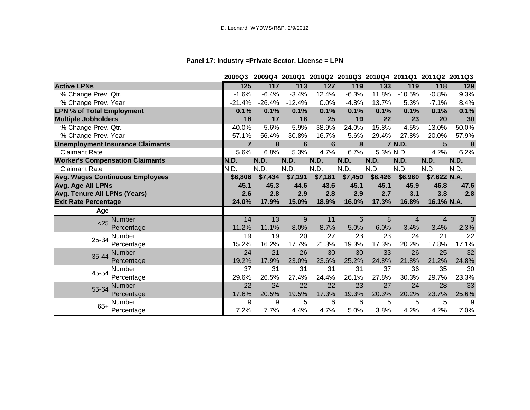# **Panel 17: Industry =Private Sector, License = LPN**

|                                         | 2009Q3         |          |                 |                 |                  | 2009Q4 2010Q1 2010Q2 2010Q3 2010Q4 2011Q1 2011Q2 2011Q3 |          |              |                  |
|-----------------------------------------|----------------|----------|-----------------|-----------------|------------------|---------------------------------------------------------|----------|--------------|------------------|
| <b>Active LPNs</b>                      | 125            | 117      | 113             | 127             | 119              | $133$                                                   | 119      | 118          | 129              |
| % Change Prev. Qtr.                     | $-1.6%$        | $-6.4%$  | $-3.4%$         | 12.4%           | $-6.3%$          | 11.8%                                                   | $-10.5%$ | $-0.8%$      | 9.3%             |
| % Change Prev. Year                     | $-21.4%$       | $-26.4%$ | $-12.4%$        | 0.0%            | $-4.8%$          | 13.7%                                                   | 5.3%     | $-7.1%$      | 8.4%             |
| <b>LPN % of Total Employment</b>        | 0.1%           | 0.1%     | 0.1%            | 0.1%            | 0.1%             | 0.1%                                                    | 0.1%     | 0.1%         | 0.1%             |
| <b>Multiple Jobholders</b>              | 18             | 17       | 18              | 25              | 19               | 22                                                      | 23       | 20           | 30               |
| % Change Prev. Qtr.                     | $-40.0%$       | $-5.6%$  | 5.9%            | 38.9%           | $-24.0%$         | 15.8%                                                   | 4.5%     | $-13.0%$     | 50.0%            |
| % Change Prev. Year                     | $-57.1%$       | $-56.4%$ | $-30.8%$        | $-16.7%$        | 5.6%             | 29.4%                                                   | 27.8%    | $-20.0%$     | 57.9%            |
| <b>Unemployment Insurance Claimants</b> | $\overline{7}$ | 8        | $6\phantom{1}6$ | $6\phantom{1}6$ | $\boldsymbol{8}$ |                                                         | 7 N.D.   | 5            | $\boldsymbol{8}$ |
| <b>Claimant Rate</b>                    | 5.6%           | 6.8%     | 5.3%            | 4.7%            | 6.7%             | 5.3% N.D.                                               |          | 4.2%         | 6.2%             |
| <b>Worker's Compensation Claimants</b>  | N.D.           | N.D.     | N.D.            | <b>N.D.</b>     | N.D.             | <b>N.D.</b>                                             | N.D.     | N.D.         | N.D.             |
| <b>Claimant Rate</b>                    | N.D.           | N.D.     | N.D.            | N.D.            | N.D.             | N.D.                                                    | N.D.     | N.D.         | N.D.             |
| <b>Avg. Wages Continuous Employees</b>  | \$6,806        | \$7,434  | \$7,191         | \$7,181         | \$7,450          | \$8,426                                                 | \$6,960  | \$7,622 N.A. |                  |
| Avg. Age All LPNs                       | 45.1           | 45.3     | 44.6            | 43.6            | 45.1             | 45.1                                                    | 45.9     | 46.8         | 47.6             |
| Avg. Tenure All LPNs (Years)            | 2.6            | 2.8      | 2.9             | 2.8             | 2.9              | 2.7                                                     | 3.1      | 3.3          | 2.8              |
| <b>Exit Rate Percentage</b>             | 24.0%          | 17.9%    | 15.0%           | 18.9%           | 16.0%            | 17.3%                                                   | 16.8%    | 16.1% N.A.   |                  |
| Age                                     |                |          |                 |                 |                  |                                                         |          |              |                  |
| <b>Number</b><br>< 25                   | 14             | 13       | 9               | 11              | 6                | 8                                                       | 4        | 4            | 3                |
| Percentage                              | 11.2%          | 11.1%    | 8.0%            | 8.7%            | 5.0%             | 6.0%                                                    | 3.4%     | 3.4%         | 2.3%             |
| Number<br>25-34                         | 19             | 19       | 20              | 27              | 23               | 23                                                      | 24       | 21           | 22               |
| Percentage                              | 15.2%          | 16.2%    | 17.7%           | 21.3%           | 19.3%            | 17.3%                                                   | 20.2%    | 17.8%        | 17.1%            |
| Number<br>35-44                         | 24             | 21       | 26              | 30              | 30               | 33                                                      | 26       | 25           | 32               |
| Percentage                              | 19.2%          | 17.9%    | 23.0%           | 23.6%           | 25.2%            | 24.8%                                                   | 21.8%    | 21.2%        | 24.8%            |
| Number<br>45-54                         | 37             | 31       | 31              | 31              | 31               | 37                                                      | 36       | 35           | 30               |
| Percentage                              | 29.6%          | 26.5%    | 27.4%           | 24.4%           | 26.1%            | 27.8%                                                   | 30.3%    | 29.7%        | 23.3%            |
| Number<br>55-64                         | 22             | 24       | 22              | 22              | 23               | 27                                                      | 24       | 28           | 33               |
| Percentage                              | 17.6%          | 20.5%    | 19.5%           | 17.3%           | 19.3%            | 20.3%                                                   | 20.2%    | 23.7%        | 25.6%            |
| Number                                  | 9              | 9        | 5               | 6               | 6                | 5                                                       | 5        | 5            | 9                |
| $65+$<br>Percentage                     | 7.2%           | 7.7%     | 4.4%            | 4.7%            | 5.0%             | 3.8%                                                    | 4.2%     | 4.2%         | 7.0%             |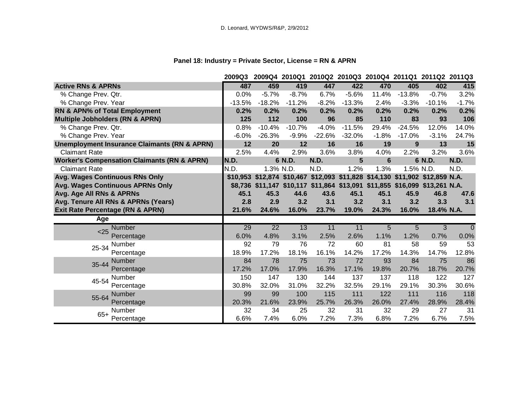# **Panel 18: Industry = Private Sector, License = RN & APRN**

|                                                         | 2009Q3   |                                                                              |          | 2009Q4 2010Q1 2010Q2 2010Q3 2010Q4 2011Q1 2011Q2 2011Q3 |          |         |           |            |          |
|---------------------------------------------------------|----------|------------------------------------------------------------------------------|----------|---------------------------------------------------------|----------|---------|-----------|------------|----------|
| <b>Active RNs &amp; APRNs</b>                           | 487      | 459                                                                          | 419      | 447                                                     | 422      | 470     | 405       | 402        | 415      |
| % Change Prev. Qtr.                                     | 0.0%     | $-5.7%$                                                                      | $-8.7%$  | 6.7%                                                    | $-5.6%$  | 11.4%   | $-13.8%$  | $-0.7%$    | 3.2%     |
| % Change Prev. Year                                     | $-13.5%$ | $-18.2%$                                                                     | $-11.2%$ | $-8.2%$                                                 | $-13.3%$ | 2.4%    | $-3.3%$   | $-10.1%$   | $-1.7%$  |
| RN & APN% of Total Employment                           | 0.2%     | 0.2%                                                                         | 0.2%     | 0.2%                                                    | 0.2%     | 0.2%    | 0.2%      | 0.2%       | 0.2%     |
| <b>Multiple Jobholders (RN &amp; APRN)</b>              | 125      | 112                                                                          | 100      | 96                                                      | 85       | 110     | 83        | 93         | 106      |
| % Change Prev. Qtr.                                     | 0.8%     | $-10.4%$                                                                     | $-10.7%$ | $-4.0%$                                                 | $-11.5%$ | 29.4%   | $-24.5%$  | 12.0%      | 14.0%    |
| % Change Prev. Year                                     | $-6.0%$  | $-26.3%$                                                                     | $-9.9%$  | $-22.6%$                                                | $-32.0%$ | $-1.8%$ | $-17.0%$  | $-3.1%$    | 24.7%    |
| <b>Unemployment Insurance Claimants (RN &amp; APRN)</b> | 12       | 20                                                                           | 12       | 16                                                      | 16       | 19      | 9         | 13         | 15       |
| <b>Claimant Rate</b>                                    | 2.5%     | 4.4%                                                                         | 2.9%     | 3.6%                                                    | 3.8%     | 4.0%    | 2.2%      | 3.2%       | 3.6%     |
| <b>Worker's Compensation Claimants (RN &amp; APRN)</b>  | IN.D.    |                                                                              | 6 N.D.   | <b>N.D.</b>                                             | 5        | 6       |           | 6 N.D.     | N.D.     |
| <b>Claimant Rate</b>                                    | N.D.     | 1.3% N.D.                                                                    |          | N.D.                                                    | 1.2%     | 1.3%    | 1.5% N.D. |            | N.D.     |
| Avg. Wages Continuous RNs Only                          |          | \$10,953 \$12,874 \$10,467 \$12,093 \$11,828 \$14,130 \$11,902 \$12,859 N.A. |          |                                                         |          |         |           |            |          |
| Avg. Wages Continuous APRNs Only                        |          | \$8,736 \$11,147 \$10,117 \$11,864 \$13,091 \$11,855 \$16,099 \$13,261 N.A.  |          |                                                         |          |         |           |            |          |
| Avg. Age All RNs & APRNs                                | 45.1     | 45.3                                                                         | 44.6     | 43.6                                                    | 45.1     | 45.1    | 45.9      | 46.8       | 47.6     |
| Avg. Tenure All RNs & APRNs (Years)                     | 2.8      | 2.9                                                                          | 3.2      | 3.1                                                     | 3.2      | 3.1     | 3.2       | 3.3        | 3.1      |
| <b>Exit Rate Percentage (RN &amp; APRN)</b>             | 21.6%    | 24.6%                                                                        | 16.0%    | 23.7%                                                   | 19.0%    | 24.3%   | 16.0%     | 18.4% N.A. |          |
| Age                                                     |          |                                                                              |          |                                                         |          |         |           |            |          |
| <b>Number</b><br>$25$                                   | 29       | $\overline{22}$                                                              | 13       | 11                                                      | 11       | 5       | 5         | 3          | $\Omega$ |
| Percentage                                              | 6.0%     | 4.8%                                                                         | 3.1%     | 2.5%                                                    | 2.6%     | 1.1%    | 1.2%      | 0.7%       | 0.0%     |
| Number<br>25-34                                         | 92       | 79                                                                           | 76       | 72                                                      | 60       | 81      | 58        | 59         | 53       |
| Percentage                                              | 18.9%    | 17.2%                                                                        | 18.1%    | 16.1%                                                   | 14.2%    | 17.2%   | 14.3%     | 14.7%      | 12.8%    |
| <b>Number</b><br>35-44                                  | 84       | 78                                                                           | 75       | 73                                                      | 72       | 93      | 84        | 75         | 86       |
| Percentage                                              | 17.2%    | 17.0%                                                                        | 17.9%    | 16.3%                                                   | 17.1%    | 19.8%   | 20.7%     | 18.7%      | 20.7%    |
| Number<br>45-54                                         | 150      | 147                                                                          | 130      | 144                                                     | 137      | 137     | 118       | 122        | 127      |
| Percentage                                              | 30.8%    | 32.0%                                                                        | 31.0%    | 32.2%                                                   | 32.5%    | 29.1%   | 29.1%     | 30.3%      | 30.6%    |
| <b>Number</b><br>55-64                                  | 99       | 99                                                                           | 100      | 115                                                     | 111      | 122     | 111       | 116        | 118      |
| Percentage                                              | 20.3%    | 21.6%                                                                        | 23.9%    | 25.7%                                                   | 26.3%    | 26.0%   | 27.4%     | 28.9%      | 28.4%    |
| Number                                                  | 32       | 34                                                                           | 25       | 32                                                      | 31       | 32      | 29        | 27         | 31       |
| $65+$<br>Percentage                                     | 6.6%     | 7.4%                                                                         | 6.0%     | 7.2%                                                    | 7.3%     | 6.8%    | 7.2%      | 6.7%       | 7.5%     |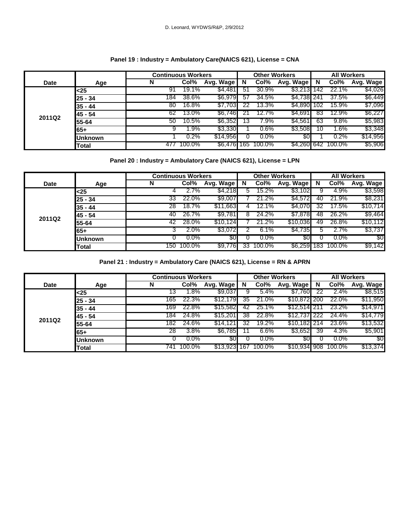### **Panel 19 : Industry = Ambulatory Care(NAICS 621), License = CNA**

|             |                | <b>Continuous Workers</b> |        |           |     | <b>Other Workers</b> |             | <b>All Workers</b> |        |           |  |
|-------------|----------------|---------------------------|--------|-----------|-----|----------------------|-------------|--------------------|--------|-----------|--|
| <b>Date</b> | Age            | N                         | Col%   | Avg. Wage | N   | Col%                 | Avg. Wage   | N                  | Col%   | Avg. Wage |  |
|             | $25$           | 91                        | 19.1%  | \$4,481   | 51  | 30.9%                | \$3,213     | 142                | 22.1%  | \$4,026   |  |
|             | 25 - 34        | 184                       | 38.6%  | \$6,979   | 57  | 34.5%                | \$4,738 241 |                    | 37.5%  | \$6,449   |  |
|             | $35 - 44$      | 80                        | 16.8%  | \$7,703   | 22  | 13.3%                | \$4,890     | 102                | 15.9%  | \$7,096   |  |
|             | 145 - 54       | 62                        | 13.0%  | \$6,746   |     | 12.7%                | \$4,691     | 83                 | 12.9%  | \$6,227   |  |
| 2011Q2      | 55-64          | 50                        | 10.5%  | \$6,352   | 13  | 7.9%                 | \$4,561     | 63                 | 9.8%   | \$5,983   |  |
|             | 65+            | 9                         | 1.9%   | \$3,330   |     | $0.6\%$              | \$3,508     | 10                 | .6%    | \$3,348   |  |
|             | <b>Unknown</b> |                           | 0.2%   | \$14,956  |     | $0.0\%$              | \$0         |                    | 0.2%   | \$14,956  |  |
|             | <b>Total</b>   | 477                       | 100.0% | \$6,476   | 165 | 100.0%               | \$4,260 642 |                    | 100.0% | \$5,906   |  |

### **Panel 20 : Industry = Ambulatory Care (NAICS 621), License = LPN**

|             |                | <b>Continuous Workers</b> |         |           |    | <b>Other Workers</b> |           | <b>All Workers</b> |         |           |  |
|-------------|----------------|---------------------------|---------|-----------|----|----------------------|-----------|--------------------|---------|-----------|--|
| <b>Date</b> | Age            | N                         | Col%    | Avg. Wage | N  | Col%                 | Avg. Wage | N                  | Col%    | Avg. Wage |  |
|             | <25            |                           | 2.7%    | \$4,218   | 5  | 15.2%                | \$3,102   |                    | 4.9%    | \$3,598   |  |
|             | 25 - 34        | 33                        | 22.0%   | \$9,007   |    | 21.2%                | \$4,572   | 40                 | 21.9%   | \$8,231   |  |
|             | 35 - 44        | 28                        | 18.7%   | \$11,663  |    | 12.1%                | \$4,070   | 32                 | 17.5%   | \$10,714  |  |
| 2011Q2      | 45 - 54        | 40                        | 26.7%   | \$9,781   | 8  | 24.2%                | \$7,878   | 48                 | 26.2%   | \$9,464   |  |
|             | 55-64          | 42                        | 28.0%   | \$10.124  |    | 21.2%                | \$10,036  | 49                 | 26.8%   | \$10,112  |  |
|             | $65+$          |                           | $2.0\%$ | \$3,072   |    | 6.1%                 | \$4,735   |                    | 2.7%    | \$3,737   |  |
|             | <b>Unknown</b> |                           | $0.0\%$ | <b>SO</b> |    | $0.0\%$              | \$0       |                    | $0.0\%$ | \$0       |  |
|             | Total          | 150                       | 100.0%  | \$9,776   | 33 | 100.0%               | \$6,259   | 183                | 100.0%  | \$9,142   |  |

**Panel 21 : Industry = Ambulatory Care (NAICS 621), License = RN & APRN**

|             |                | <b>Continuous Workers</b> |         |           |     | <b>Other Workers</b> |               | <b>All Workers</b> |         |           |  |
|-------------|----------------|---------------------------|---------|-----------|-----|----------------------|---------------|--------------------|---------|-----------|--|
| <b>Date</b> | Age            | N                         | Col%    | Avg. Wage | N   | Col%                 | Avg. Wage     | N                  | Col%    | Avg. Wage |  |
|             | <25            | 13                        | 1.8%    | \$9,037   |     | 5.4%                 | \$7,760       | 22                 | 2.4%    | \$8,515   |  |
|             | 25 - 34        | 165                       | 22.3%   | \$12,179  | 35  | 21.0%                | \$10,872 200  |                    | 22.0%   | \$11,950  |  |
|             | 35 - 44        | 169                       | 22.8%   | \$15,582  | 42  | 25.1%                | \$12.514      |                    | 23.2%   | \$14,971  |  |
|             | 145 - 54       | 184                       | 24.8%   | \$15,201  | 38  | 22.8%                | \$12,737      | 222                | 24.4%   | \$14,779  |  |
| 2011Q2      | 55-64          | 182                       | 24.6%   | \$14,121  | 32  | 19.2%                | \$10,182 214  |                    | 23.6%   | \$13,532  |  |
|             | 65+            | 28                        | 3.8%    | \$6,785   |     | 6.6%                 | \$3,652       | 39                 | 4.3%    | \$5,901   |  |
|             | <b>Unknown</b> |                           | $0.0\%$ | \$0       |     | $0.0\%$              | \$0           |                    | $0.0\%$ | \$0       |  |
|             | Total          | 741                       | 100.0%  | \$13,923  | 167 | 100.0%               | $$10,934$ 908 |                    | 100.0%  | \$13,374  |  |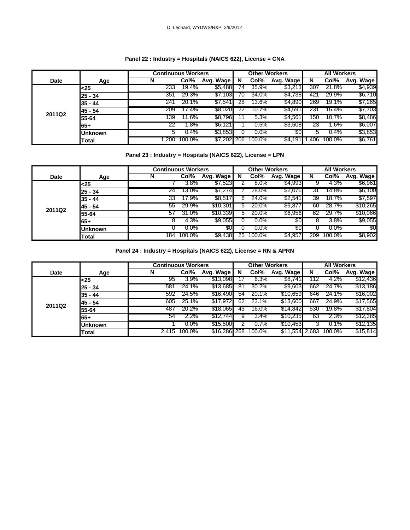### **Panel 22 : Industry = Hospitals (NAICS 622), License = CNA**

|        |                | <b>Continuous Workers</b> |         |             | <b>Other Workers</b> |         | <b>All Workers</b> |           |         |           |
|--------|----------------|---------------------------|---------|-------------|----------------------|---------|--------------------|-----------|---------|-----------|
| Date   | Age            | N                         | Col%    | Avg. Wage   | N                    | Col%    | Avg. Wage          | N         | Col%    | Avg. Wage |
|        | $<$ 25         | 233                       | 19.4%   | \$5,488     | 74                   | 35.9%   | \$3,213            | 307       | 21.8%   | \$4,939   |
|        | $25 - 34$      | 351                       | 29.3%   | \$7,103     | 70                   | 34.0%   | \$4,738            | 421       | 29.9%   | \$6,710   |
|        | $35 - 44$      | 241                       | 20.1%   | \$7,541     | 28                   | 13.6%   | \$4,890            | 269       | 19.1%   | \$7,265   |
|        | 45 - 54        | 209                       | 17.4%   | \$8,020     |                      | 10.7%   | \$4,691            | 231       | 16.4%   | \$7,703   |
| 2011Q2 | 55-64          | 139                       | 11.6%   | \$8,796     |                      | 5.3%    | \$4,561            | <b>50</b> | 10.7%   | \$8,486   |
|        | 65+            | 22                        | 1.8%    | \$6,121     |                      | $0.5\%$ | \$3,508            | 23        | $.6\%$  | \$6,007   |
|        | <b>Unknown</b> | G                         | $0.4\%$ | \$3,853     |                      | $0.0\%$ | 80                 | D.        | $0.4\%$ | \$3,853   |
|        | Total          | . .200                    | 100.0%  | \$7,202 206 |                      | 100.0%  | $$4,191$ 1         | .406      | 100.0%  | \$6,761   |

### **Panel 23 : Industry = Hospitals (NAICS 622), License = LPN**

|        |                | <b>Continuous Workers</b> |         |           |             | <b>Other Workers</b> |           | <b>All Workers</b> |         |           |  |
|--------|----------------|---------------------------|---------|-----------|-------------|----------------------|-----------|--------------------|---------|-----------|--|
| Date   | Age            | N                         | Col%    | Avg. Wage | N           | Col%                 | Avg. Wage | N                  | Col%    | Avg. Wage |  |
|        | <25            |                           | 3.8%    | \$7,523   |             | $8.0\%$              | \$4,993   |                    | 4.3%    | \$6,961   |  |
|        | $25 - 34$      | 24                        | 13.0%   | \$7,274   |             | 28.0%                | \$2,076   | 31                 | 14.8%   | \$6,100   |  |
|        | $35 - 44$      | 33                        | 17.9%   | \$8,517   | 6           | 24.0%                | \$2,541   | 39                 | 18.7%   | \$7,597   |  |
|        | 45 - 54        | 55                        | 29.9%   | \$10,301  | 5           | 20.0%                | \$9,877   | 60                 | 28.7%   | \$10,265  |  |
| 2011Q2 | 55-64          | 57                        | 31.0%   | \$10,339  | $5^{\circ}$ | 20.0%                | \$6,956   | 62                 | 29.7%   | \$10,066  |  |
|        | $65+$          | ŏ                         | 4.3%    | \$9,055   |             | $0.0\%$              | 30        |                    | 3.8%    | \$9,055   |  |
|        | <b>Unknown</b> |                           | $0.0\%$ | 30        |             | $0.0\%$              | \$0       |                    | $0.0\%$ | \$0       |  |
|        | Total          | 184                       | 100.0%  | \$9,438   | 25          | 100.0%               | \$4,957   | 209                | 100.0%  | \$8,902   |  |

**Panel 24 : Industry = Hospitals (NAICS 622), License = RN & APRN**

|        |                | <b>Continuous Workers</b> |              |              | <b>Other Workers</b> |        | <b>All Workers</b> |     |        |           |
|--------|----------------|---------------------------|--------------|--------------|----------------------|--------|--------------------|-----|--------|-----------|
| Date   | Age            | N                         | Col%         | Avg. Wage    | N                    | Col%   | Avg. Wage          | N   | Col%   | Avg. Wage |
|        | <25            | 95                        | 3.9%         | \$13,098     |                      | 6.3%   | \$8,741            | 112 | 4.2%   | \$12,436  |
|        | 25 - 34        | 581                       | 24.1%        | \$13,685     | 81                   | 30.2%  | \$9,603            | 662 | 24.7%  | \$13,186  |
|        | $35 - 44$      | 592                       | 24.5%        | \$16,490     | 54                   | 20.1%  | \$10,659           | 646 | 24.1%  | \$16,002  |
| 2011Q2 | 45 - 54        | 605                       | 25.1%        | \$17,972     | 62                   | 23.1%  | \$13,600           | 667 | 24.9%  | \$17,565  |
|        | 55-64          | 487                       | 20.2%        | \$18,065     | 43                   | 16.0%  | \$14,842           | 530 | 19.8%  | \$17,804  |
|        | 65+            | 54                        | 2.2%         | \$12,744     |                      | 3.4%   | \$10,235           | 63  | 2.3%   | \$12,385  |
|        | <b>Unknown</b> |                           | $0.0\%$      | \$15,500     |                      | 0.7%   | \$10,453           |     | 0.1%   | \$12,135  |
|        | Total          |                           | 2,415 100.0% | \$16,286 268 |                      | 100.0% | \$11,554 2,683     |     | 100.0% | \$15,814  |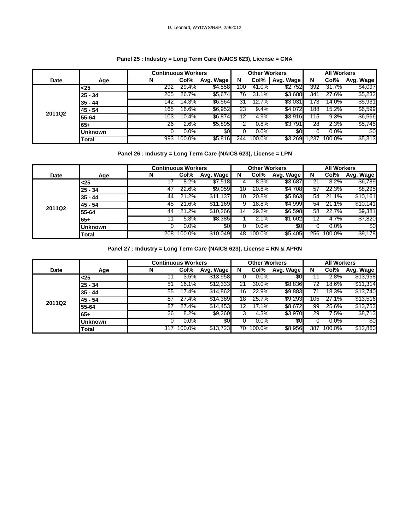### **Panel 25 : Industry = Long Term Care (NAICS 623), License = CNA**

|             |                | <b>Continuous Workers</b> |         |           |     | <b>Other Workers</b> |           |      | <b>All Workers</b> |           |
|-------------|----------------|---------------------------|---------|-----------|-----|----------------------|-----------|------|--------------------|-----------|
| <b>Date</b> | Age            | N                         | Col%    | Avg. Wage | N   | Col%                 | Avg. Wage | N    | Col%               | Avg. Wage |
|             | $25$           | 292                       | 29.4%   | \$4,558   | 100 | 41.0%                | \$2,752   | 392  | 31.7%              | \$4,097   |
|             | 25 - 34        | 265                       | 26.7%   | \$5,674   | 76  | 31.1%                | \$3,688   | 341  | 27.6%              | \$5,232   |
|             | 35 - 44        | 142                       | 14.3%   | \$6,564   | 31  | 12.7%                | \$3,031   | 73   | 14.0%              | \$5,931   |
|             | 45 - 54        | 165                       | 16.6%   | \$6,952   | 23  | 9.4%                 | \$4,072   | 88   | 15.2%              | \$6,599   |
| 2011Q2      | 55-64          | 103                       | 10.4%   | \$6,874   | 12  | 4.9%                 | \$3,916   | '15  | 9.3%               | \$6,566   |
|             | 65+            | 26                        | 2.6%    | \$5,895   |     | 0.8%                 | \$3,791   | 28   | 2.3%               | \$5,745   |
|             | <b>Unknown</b> |                           | $0.0\%$ | 80        |     | $0.0\%$              | \$0       |      | $0.0\%$            | \$0       |
|             | Total          | 993                       | 100.0%  | \$5,816   | 244 | 100.0%               | \$3,269   | .237 | 100.0%             | \$5,313   |

### **Panel 26 : Industry = Long Term Care (NAICS 623), License = LPN**

|             |                | <b>Continuous Workers</b> |         |           |    | <b>Other Workers</b> |           |     | <b>All Workers</b> |           |
|-------------|----------------|---------------------------|---------|-----------|----|----------------------|-----------|-----|--------------------|-----------|
| <b>Date</b> | Age            | N                         | Col%    | Avg. Wage | N  | Col%                 | Avg. Wage | N   | Col%               | Avg. Wage |
|             | <25            |                           | $8.2\%$ | \$7,518   |    | 8.3%                 | \$3,687   |     | $8.2\%$            | \$6,789   |
|             | $25 - 34$      | 47                        | 22.6%   | \$9,059   | 10 | 20.8%                | \$4,708   | 57  | 22.3%              | \$8,295   |
|             | $35 - 44$      | 44                        | 21.2%   | \$11,137  |    | 20.8%                | \$5,863   | 54  | 21.1%              | \$10,161  |
| 2011Q2      | 145 - 54       | 45                        | 21.6%   | \$11,169  | 9  | 18.8%                | \$4,999   | 54  | 21.1%              | \$10,141  |
|             | 55-64          | 44                        | 21.2%   | \$10,266  | 14 | 29.2%                | \$6,598   | 58  | 22.7%              | \$9,381   |
|             | 65+            |                           | 5.3%    | \$8,385   |    | 2.1%                 | \$1,602   | 12  | 4.7%               | \$7,820   |
|             | <b>Unknown</b> |                           | $0.0\%$ | \$0       |    | $0.0\%$              | \$0       |     | $0.0\%$            | \$0       |
|             | Total          | 208                       | 100.0%  | \$10,049  | 48 | 100.0%               | \$5,405   | 256 | 100.0%             | \$9,178   |

**Panel 27 : Industry = Long Term Care (NAICS 623), License = RN & APRN**

|             |                | <b>Continuous Workers</b> |         |           |    | <b>Other Workers</b> |           |     | <b>All Workers</b> |           |
|-------------|----------------|---------------------------|---------|-----------|----|----------------------|-----------|-----|--------------------|-----------|
| <b>Date</b> | Age            | N                         | Col%    | Avg. Wage | N  | Col%                 | Avg. Wage | N   | Col%               | Avg. Wage |
|             | <25            |                           | 3.5%    | \$13,958  |    | $0.0\%$              | 80        |     | 2.8%               | \$13,958  |
|             | 25 - 34        | 51                        | 16.1%   | \$12,333  |    | 30.0%                | \$8,836   | 72  | 18.6%              | \$11,314  |
|             | $35 - 44$      | 55                        | 17.4%   | \$14,862  | 16 | 22.9%                | \$9,883   |     | 18.3%              | \$13,740  |
|             | 45 - 54        | 87                        | 27.4%   | \$14,389  | 18 | 25.7%                | \$9,293   | 105 | 27.1%              | \$13,516  |
| 2011Q2      | 55-64          | 87                        | 27.4%   | \$14,453  | 12 | 17.1%                | \$8,672   | 99  | 25.6%              | \$13,753  |
|             | $65+$          | 26                        | 8.2%    | \$9,260   |    | 4.3%                 | \$3,970   | 29  | 7.5%               | \$8,713   |
|             | <b>Unknown</b> |                           | $0.0\%$ | \$0       |    | $0.0\%$              | \$0       |     | $0.0\%$            | \$0       |
|             | <b>Total</b>   | 317                       | 100.0%  | \$13,723  | 70 | 100.0%               | \$8,956   | 387 | 100.0%             | \$12,860  |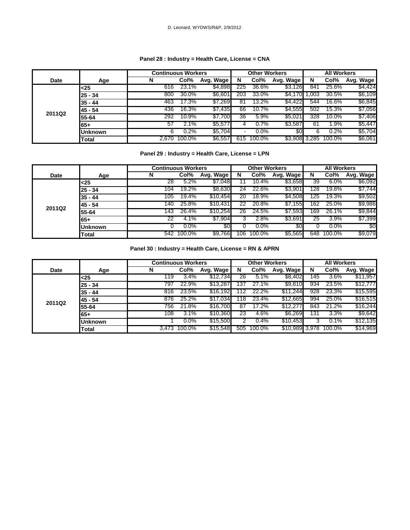### **Panel 28 : Industry = Health Care, License = CNA**

|             |                | <b>Continuous Workers</b> |        |           |                          | <b>Other Workers</b> |           |       | <b>All Workers</b> |           |
|-------------|----------------|---------------------------|--------|-----------|--------------------------|----------------------|-----------|-------|--------------------|-----------|
| <b>Date</b> | Age            | N                         | Col%   | Avg. Wage | N                        | Col%                 | Avg. Wage | N     | Col%               | Avg. Wage |
|             | $25$           | 616                       | 23.1%  | \$4,898   | 225                      | 36.6%                | \$3,126   | 841   | 25.6%              | \$4,424   |
|             | 25 - 34        | 800                       | 30.0%  | \$6,601   | 203                      | 33.0%                | \$4,170   | .003  | 30.5%              | \$6,109   |
|             | 35 - 44        | 463                       | 17.3%  | \$7,269   | 81                       | 13.2%                | \$4,422   | 544   | 16.6%              | \$6,845   |
|             | 45 - 54        | 436                       | 16.3%  | \$7,435   | 66                       | 10.7%                | \$4,555   | 502   | 15.3%              | \$7,056   |
| 2011Q2      | 55-64          | 292                       | 10.9%  | \$7,700   | 36                       | 5.9%                 | \$5,021   | 328   | 10.0%              | \$7,406   |
|             | 65+            | 57                        | 2.1%   | \$5,577   |                          | 0.7%                 | \$3,587   | 61    | 1.9%               | \$5,447   |
|             | <b>Unknown</b> | 6                         | 0.2%   | \$5,704   | $\overline{\phantom{0}}$ | $0.0\%$              | \$0       | 6     | 0.2%               | \$5,704   |
|             | Total          | 2.670                     | 100.0% | \$6,557   | 615                      | 100.0%               | \$3,908   | 3.285 | 100.0%             | \$6,061   |

### **Panel 29 : Industry = Health Care, License = LPN**

|        |                 | <b>Continuous Workers</b> |            |           |     | <b>Other Workers</b> |                |     | <b>All Workers</b> |           |
|--------|-----------------|---------------------------|------------|-----------|-----|----------------------|----------------|-----|--------------------|-----------|
| Date   | Age             | N                         | Col%       | Avg. Wage | N   | Col%                 | Avg. Wage      | N   | Col%               | Avg. Wage |
|        | $25$            | 28                        | $5.2\%$    | \$7,048   |     | 10.4%                | <b>\$3,658</b> | 39  | 6.0%               | \$6,092   |
|        | 25 - 34         | 104                       | 19.2%      | \$8,630   | 24  | 22.6%                | \$3,901        | 28  | 19.8%              | \$7,744   |
|        | 35 - 44         | 105                       | 19.4%      | \$10,454  | 20  | 18.9%                | \$4,508        | 125 | 19.3%              | \$9,502   |
| 2011Q2 | 45 - 54         | 140                       | 25.8%      | \$10,431  | 22  | 20.8%                | \$7,155        | 162 | 25.0%              | \$9,986   |
|        | 55-64           | 143                       | 26.4%      | \$10,254  | 26  | 24.5%                | \$7,593        | 169 | 26.1%              | \$9,844   |
|        | 65+             | 22                        | 4.1%       | \$7,904   |     | 2.8%                 | \$3,691        | 25  | 3.9%               | \$7,399   |
|        | <b>IUnknown</b> |                           | $0.0\%$    | 80        |     | $0.0\%$              | \$0            |     | $0.0\%$            | \$0       |
|        | Total           |                           | 542 100.0% | \$9,766   | 106 | 100.0%               | \$5,565        | 648 | 100.0%             | \$9,079   |

**Panel 30 : Industry = Health Care, License = RN & APRN**

|        |                | <b>Continuous Workers</b> |              |           |     | <b>Other Workers</b> |                |     | <b>All Workers</b> |           |
|--------|----------------|---------------------------|--------------|-----------|-----|----------------------|----------------|-----|--------------------|-----------|
| Date   | Age            | N                         | Col%         | Avg. Wage | N   | Col%                 | Avg. Wage      | N   | Col%               | Avg. Wage |
|        | <25            | 119                       | 3.4%         | \$12,734  | 26  | 5.1%                 | \$8,402        | 145 | 3.6%               | \$11,957  |
|        | $25 - 34$      | 797                       | 22.9%        | \$13,287  | 137 | 27.1%                | \$9,810        | 934 | 23.5%              | \$12,777  |
|        | $35 - 44$      | 816                       | 23.5%        | \$16,192  | 12  | 22.2%                | \$11,244       | 928 | 23.3%              | \$15,595  |
|        | 45 - 54        | 876                       | 25.2%        | \$17,034  | 118 | 23.4%                | \$12,665       | 994 | 25.0%              | \$16,515  |
| 2011Q2 | 55-64          | 756                       | 21.8%        | \$16,700  | 87  | 17.2%                | \$12,277       | 843 | 21.2%              | \$16,244  |
|        | $65+$          | 108                       | 3.1%         | \$10,360  | 23  | 4.6%                 | \$6,269        | 131 | 3.3%               | \$9,642   |
|        | <b>Unknown</b> |                           | $0.0\%$      | \$15,500  |     | $0.4\%$              | \$10,453       |     | 0.1%               | \$12,135  |
|        | <b>Total</b>   |                           | 3,473 100.0% | \$15,548  | 505 | 100.0%               | \$10,989 3,978 |     | 100.0%             | \$14,969  |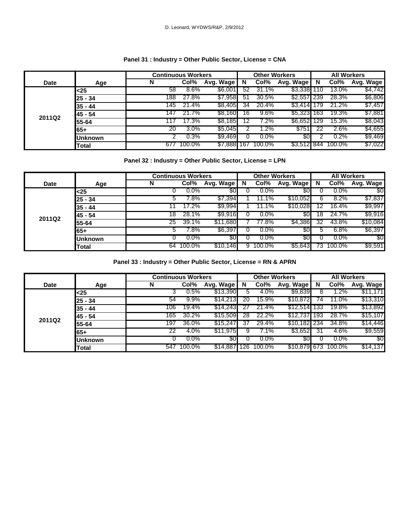### **Panel 31 : Industry = Other Public Sector, License = CNA**

|             |                | <b>Continuous Workers</b> |         |                |     | <b>Other Workers</b> |             |     | <b>All Workers</b> |           |
|-------------|----------------|---------------------------|---------|----------------|-----|----------------------|-------------|-----|--------------------|-----------|
| <b>Date</b> | Age            | N                         | Col%    | Avg. Wage      | N   | Col%                 | Avg. Wage   | N   | Col%               | Avg. Wage |
|             | $25$           | 58                        | 8.6%    | \$6,001        | 52  | 31.1%                | \$3,338     | 110 | 13.0%              | \$4,742   |
|             | 25 - 34        | 188                       | 27.8%   | \$7,958        | 51  | 30.5%                | \$2,557 239 |     | 28.3%              | \$6,806   |
|             | $35 - 44$      | 145                       | 21.4%   | \$8,405        | 34  | 20.4%                | \$3.414     | 179 | 21.2%              | \$7,457   |
|             | 45 - 54        | 147                       | 21.7%   | \$8,160        | 16  | 9.6%                 | \$5,323 163 |     | 19.3%              | \$7,881   |
| 2011Q2      | 55-64          | 11.                       | 17.3%   | <b>\$8,185</b> | 12  | 7.2%                 | \$6,652 129 |     | 15.3%              | \$8,043   |
|             | 65+            | 20                        | $3.0\%$ | \$5,045        |     | $1.2\%$              | \$751       |     | 2.6%               | \$4,655   |
|             | <b>Unknown</b> |                           | 0.3%    | \$9,469        |     | $0.0\%$              | 80          |     | 0.2%               | \$9,469   |
|             | <b>Total</b>   | 677                       | 100.0%  | \$7,888        | 167 | 100.0%               | \$3,512 844 |     | 100.0%             | \$7,022   |

### **Panel 32 : Industry = Other Public Sector, License = LPN**

|             |         | <b>Continuous Workers</b> |         |           |   | <b>Other Workers</b> |           |     | <b>All Workers</b> |           |
|-------------|---------|---------------------------|---------|-----------|---|----------------------|-----------|-----|--------------------|-----------|
| <b>Date</b> | Age     | N                         | Col%    | Avg. Wage | N | Col%                 | Avg. Wage | N   | Col%               | Avg. Wage |
|             | <25     |                           | $0.0\%$ | 30        |   | $0.0\%$              | \$0       |     | $0.0\%$            | \$0       |
|             | 25 - 34 |                           | 7.8%    | \$7,394   |   | $1.1\%$              | \$10,052  |     | 8.2%               | \$7,837   |
|             | 35 - 44 |                           | 17.2%   | \$9,994   |   | 1.1%                 | \$10,028  |     | 16.4%              | \$9,997   |
|             | 45 - 54 | 18                        | 28.1%   | \$9,916   |   | $0.0\%$              | \$0       | 18  | 24.7%              | \$9,916   |
| 2011Q2      | 55-64   | 25                        | 39.1%   | \$11,680  |   | 77.8%                | \$4,386   | 32  | 43.8%              | \$10,084  |
|             | 65+     |                           | 7.8%    | \$6,397   |   | $0.0\%$              | 80        |     | $6.8\%$            | \$6,397   |
|             | Unknown |                           | $0.0\%$ | \$0       |   | $0.0\%$              | \$0       |     | $0.0\%$            | \$0       |
|             | Total   | 64                        | 100.0%  | \$10,146  | 9 | 100.0%               | \$5,643   | 73. | 100.0%             | \$9,591   |

**Panel 33 : Industry = Other Public Sector, License = RN & APRN**

|             |                | <b>Continuous Workers</b> |         |           |     | <b>Other Workers</b> |              |     | <b>All Workers</b> |           |
|-------------|----------------|---------------------------|---------|-----------|-----|----------------------|--------------|-----|--------------------|-----------|
| <b>Date</b> | Age            | N                         | Col%    | Avg. Wage | N   | Col%                 | Avg. Wage    | N   | Col%               | Avg. Wage |
|             | <25            |                           | 0.5%    | \$13,390  |     | 4.0%                 | \$9,839      |     | $.2\%$             | \$11,171  |
|             | 25 - 34        | 54                        | 9.9%    | \$14,213  | 20  | 15.9%                | \$10,872     | 74  | 11.0%              | \$13,310  |
|             | 35 - 44        | 106                       | 19.4%   | \$14,243  |     | 21.4%                | \$12.514     | 133 | 19.8%              | \$13,892  |
|             | 145 - 54       | 165                       | 30.2%   | \$15,509  | 28  | 22.2%                | \$12,737     | 193 | 28.7%              | \$15,107  |
| 2011Q2      | 55-64          | 197                       | 36.0%   | \$15,247  | 31  | 29.4%                | \$10,182 234 |     | 34.8%              | \$14,446  |
|             | 65+            | 22                        | 4.0%    | \$11,975  |     | 7.1%                 | \$3,652      | 31  | 4.6%               | \$9,559   |
|             | <b>Unknown</b> |                           | $0.0\%$ | \$0       |     | $0.0\%$              | 80           |     | $0.0\%$            | \$0       |
|             | Total          | 547                       | 100.0%  | \$14,887  | 126 | 100.0%               | \$10,879 673 |     | $100.0\%$          | \$14,137  |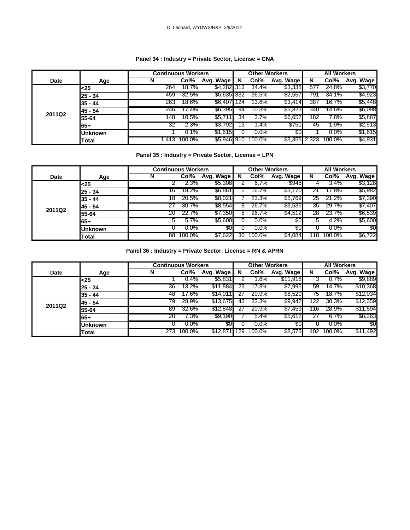### **Panel 34 : Industry = Private Sector, License = CNA**

|        |                | <b>Continuous Workers</b> |         |             |     | <b>Other Workers</b> |               |     | <b>All Workers</b> |           |
|--------|----------------|---------------------------|---------|-------------|-----|----------------------|---------------|-----|--------------------|-----------|
| Date   | Age            | N                         | Col%    | Avg. Wage   | N   | Col%                 | Avg. Wage     | N   | Col%               | Avg. Wage |
|        | $<$ 25         | 264                       | 18.7%   | \$4,282 313 |     | 34.4%                | \$3,338       | 577 | 24.8%              | \$3,770   |
|        | $25 - 34$      | 459                       | 32.5%   | \$6,635 332 |     | 36.5%                | \$2,557       | 791 | 34.1%              | \$4,923   |
|        | $35 - 44$      | 263                       | 18.6%   | \$6,407 124 |     | 13.6%                | \$3,414       | 387 | 16.7%              | \$5,448   |
|        | 45 - 54        | 246                       | 17.4%   | \$6,395     | 94  | 10.3%                | \$5,323       | 340 | 14.6%              | \$6,098   |
| 2011Q2 | 55-64          | 148                       | 10.5%   | \$5,711     | 34  | 3.7%                 | \$6,652       | 182 | 7.8%               | \$5,887   |
|        | 65+            | 32                        | 2.3%    | \$3,792     | -13 | .4%                  | \$751         | 45  | 1.9%               | \$2,913   |
|        | <b>Unknown</b> |                           | $0.1\%$ | \$1,615     |     | $0.0\%$              | 30            |     | $0.0\%$            | \$1,615   |
|        | Total          | 1.413                     | 100.0%  | \$5,946 910 |     | 100.0%               | \$3,355 2,323 |     | 100.0%             | \$4,931   |

### **Panel 35 : Industry = Private Sector, License = LPN**

|             |                | <b>Continuous Workers</b> |         |           |    | <b>Other Workers</b> |           |    | <b>All Workers</b> |           |
|-------------|----------------|---------------------------|---------|-----------|----|----------------------|-----------|----|--------------------|-----------|
| <b>Date</b> | Age            | N                         | Col%    | Avg. Wage | N  | Col%                 | Avg. Wage | N  | Col%               | Avg. Wage |
|             | <25            |                           | 2.3%    | \$5,308   |    | 6.7%                 | \$948     |    | 3.4%               | \$3,128   |
|             | $25 - 34$      | 16                        | 18.2%   | \$6,861   | b. | 16.7%                | \$3,170   |    | 17.8%              | \$5,982   |
|             | $35 - 44$      | 18                        | 20.5%   | \$8,021   |    | 23.3%                | \$5,769   | 25 | 21.2%              | \$7,390   |
|             | 45 - 54        | 27                        | 30.7%   | \$8,554   | 8  | 26.7%                | \$3,536   | 35 | 29.7%              | \$7,407   |
| 2011Q2      | 55-64          | 20                        | 22.7%   | \$7,350   | 8  | 26.7%                | \$4,512   | 28 | 23.7%              | \$6,539   |
|             | $65+$          | 5                         | 5.7%    | \$5,600   |    | $0.0\%$              | 30        | 5  | 4.2%               | \$5,600   |
|             | <b>Unknown</b> |                           | $0.0\%$ | 30        |    | $0.0\%$              | \$0       |    | $0.0\%$            | \$0       |
|             | Total          | 88                        | 100.0%  | \$7,622   | 30 | 100.0%               | \$4,084   | 18 | 100.0%             | \$6,722   |

**Panel 36 : Industry = Private Sector, License = RN & APRN**

|        |                | <b>Continuous Workers</b> |            |           |     | <b>Other Workers</b> |           |    | <b>All Workers</b> |           |
|--------|----------------|---------------------------|------------|-----------|-----|----------------------|-----------|----|--------------------|-----------|
| Date   | Age            | N                         | Col%       | Avg. Wage | N   | Col%                 | Avg. Wage | N  | Col%               | Avg. Wage |
|        | <25            |                           | 0.4%       | \$5,831   |     | $.6\%$               | \$11,918  |    | 0.7%               | \$9,889   |
|        | $25 - 34$      | 36                        | 13.2%      | \$11,884  | 23  | 17.8%                | \$7,995   | 59 | 14.7%              | \$10,368  |
|        | $35 - 44$      | 48                        | 17.6%      | \$14,01   |     | 20.9%                | \$8,520   | 75 | 18.7%              | \$12,034  |
| 2011Q2 | 45 - 54        | 79.                       | 28.9%      | \$13,675  | 43  | 33.3%                | \$9,942   |    | 30.3%              | \$12,359  |
|        | 55-64          | 89                        | 32.6%      | \$12,848  |     | 20.9%                | \$7,459   | 16 | 28.9%              | \$11,594  |
|        | 65+            | 20                        | 7.3%       | \$9,190   |     | 5.4%                 | \$5,612   |    | 6.7%               | \$8,263   |
|        | <b>Unknown</b> |                           | $0.0\%$    | 30        |     | $0.0\%$              | 30        |    | $0.0\%$            | \$0       |
|        | Total          |                           | 273 100.0% | \$12,871  | 129 | 100.0%               | \$8,573   |    | 402 100.0%         | \$11,492  |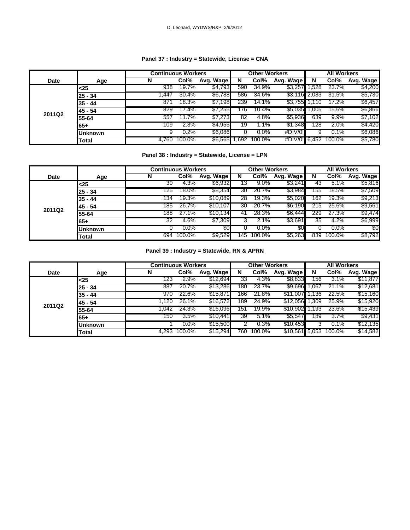### **Panel 37 : Industry = Statewide, License = CNA**

|             |                | <b>Continuous Workers</b> |         |                |     | <b>Other Workers</b> |               | <b>All Workers</b> |                      |           |
|-------------|----------------|---------------------------|---------|----------------|-----|----------------------|---------------|--------------------|----------------------|-----------|
| <b>Date</b> | Age            | N                         | Col%    | Avg. Wage      | N   | Col%                 | Avg. Wage     | N                  | Col%                 | Avg. Wage |
|             | <25            | 938                       | 19.7%   | \$4,793        | 590 | 34.9%                | \$3,257 1,528 |                    | 23.7%                | \$4,200   |
|             | $25 - 34$      | .447                      | 30.4%   | \$6,788        | 586 | 34.6%                | \$3,116 2,033 |                    | 31.5%                | \$5,730   |
|             | $35 - 44$      | 871                       | 18.3%   | <b>\$7,198</b> | 239 | 14.1%                | \$3.755       |                    | 17.2%                | \$6,457   |
|             | 145 - 54       | 829                       | 17.4%   | \$7,255        | 176 | $10.4\%$             | \$5,035 1,005 |                    | 15.6%                | \$6,866   |
| 2011Q2      | 55-64          | 557                       | 11.7%   | \$7,273        | 82  | 4.8%                 | \$5,936       | 639                | $9.9\%$              | \$7,102   |
|             | 65+            | 109                       | 2.3%    | \$4,955        | 19  | 1.1%                 | \$1,348       | 128                | 2.0%                 | \$4,420   |
|             | <b>Unknown</b> |                           | $0.2\%$ | <b>\$6,086</b> |     | $0.0\%$              | #DIV/0!       | У                  | $0.1\%$              | \$6,086   |
|             | Total          | 4.760                     | 100.0%  | \$6,565 1,692  |     | 100.0%               |               |                    | #DIV/0! 6.452 100.0% | \$5,780   |

### **Panel 38 : Industry = Statewide, License = LPN**

|        |                | <b>Continuous Workers</b> | <b>Other Workers</b> |           | <b>All Workers</b> |            |           |     |         |           |
|--------|----------------|---------------------------|----------------------|-----------|--------------------|------------|-----------|-----|---------|-----------|
| Date   | Age            |                           | Col%                 | Avg. Wage | N                  | Col%       | Avg. Wage | N   | Col%    | Avg. Wage |
|        | <25            | 30                        | 4.3%                 | \$6,932   | 13                 | $9.0\%$    | \$3,241   | 43  | 5.1%    | \$5,816   |
|        | $25 - 34$      | 125                       | 18.0%                | \$8,354   | 30                 | 20.7%      | \$3,984   | 155 | 18.5%   | \$7,509   |
|        | $35 - 44$      | 134                       | 19.3%                | \$10,089  | 28                 | 19.3%      | \$5,020   | 162 | 19.3%   | \$9,213   |
|        | 45 - 54        | 185                       | 26.7%                | \$10,107  | 30                 | 20.7%      | \$6,190   | 215 | 25.6%   | \$9,561   |
| 2011Q2 | 55-64          | 188                       | 27.1%                | \$10,134  | 41                 | 28.3%      | \$6,444   | 229 | 27.3%   | \$9,474   |
|        | $65+$          | 32                        | 4.6%                 | \$7,309   |                    | 2.1%       | \$3,691   | 35  | 4.2%    | \$6,999   |
|        | <b>Unknown</b> |                           | $0.0\%$              | \$0       |                    | $0.0\%$    | \$0       |     | $0.0\%$ | \$0       |
|        | Total          | 694                       | 100.0%               | \$9,529   |                    | 145 100.0% | \$5,263   | 839 | 100.0%  | \$8,792   |

**Panel 39 : Industry = Statewide, RN & APRN**

|        |                | <b>Continuous Workers</b> |         |           |      | <b>Other Workers</b> |           | <b>All Workers</b> |        |           |  |
|--------|----------------|---------------------------|---------|-----------|------|----------------------|-----------|--------------------|--------|-----------|--|
| Date   | Age            | N                         | Col%    | Avg. Wage | N    | Col%                 | Avg. Wage | N                  | Col%   | Avg. Wage |  |
|        | $<$ 25         | 123                       | 2.9%    | \$12,694  | 33   | 4.3%                 | \$8,833   | 156                | 3.1%   | \$11,877  |  |
|        | $25 - 34$      | 887                       | 20.7%   | \$13,286  | 180  | 23.7%                | \$9,696   | .067               | 21.1%  | \$12,681  |  |
|        | $35 - 44$      | 970                       | 22.6%   | \$15,871  | 166  | 21.8%                | \$11,007  | 136                | 22.5%  | \$15,160  |  |
| 2011Q2 | 45 - 54        | l.120                     | 26.1%   | \$16,572  | 189  | 24.9%                | \$12,056  | .309               | 25.9%  | \$15,920  |  |
|        | 55-64          | 1.042                     | 24.3%   | \$16,096  | 151  | 19.9%                | \$10,902  | Ⅰ.193              | 23.6%  | \$15,439  |  |
|        | 65+            | 150                       | 3.5%    | \$10,441  | 39   | 5.1%                 | \$5,547   | 189                | 3.7%   | \$9,431   |  |
|        | <b>Unknown</b> |                           | $0.0\%$ | \$15,500  |      | 0.3%                 | \$10,453  |                    | 0.1%   | \$12,135  |  |
|        | Total          | 4.293                     | 100.0%  | \$15,294  | 760. | 100.0%               | \$10,561  | 5.053              | 100.0% | \$14,582  |  |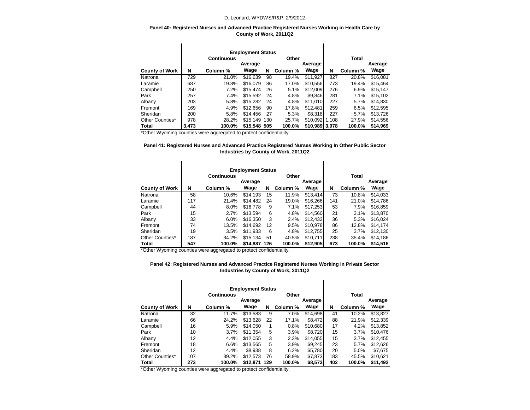#### D. Leonard, WYDWS/R&P, 2/9/2012

#### **Panel 40: Registered Nurses and Advanced Practice Registered Nurses Working in Health Care by County of Work, 2011Q2**

|                       |       | <b>Continuous</b> | <b>Employment Status</b><br>Average |     | Other    | Average        |       | <b>Total</b> | Average  |
|-----------------------|-------|-------------------|-------------------------------------|-----|----------|----------------|-------|--------------|----------|
| <b>County of Work</b> | N     | Column %          | Wage                                | N   | Column % | Wage           | N     | Column %     | Wage     |
| Natrona               | 729   | 21.0%             | \$16.639                            | 98  | 19.4%    | \$11.927       | 827   | 20.8%        | \$16.081 |
| Laramie               | 687   | 19.8%             | \$16.079                            | 86  | 17.0%    | \$10,556       | 773   | 19.4%        | \$15.464 |
| Campbell              | 250   | 7.2%              | \$15.474                            | 26  | 5.1%     | \$12,009       | 276   | 6.9%         | \$15.147 |
| Park                  | 257   | 7.4%              | \$15,592                            | 24  | 4.8%     | \$9.846        | 281   | 7.1%         | \$15,102 |
| Albany                | 203   | 5.8%              | \$15,282                            | 24  | 4.8%     | \$11.010       | 227   | 5.7%         | \$14,830 |
| Fremont               | 169   | 4.9%              | \$12.656                            | 90  | 17.8%    | \$12.481       | 259   | 6.5%         | \$12.595 |
| Sheridan              | 200   | 5.8%              | \$14.456                            | 27  | 5.3%     | \$8.318        | 227   | 5.7%         | \$13,726 |
| Other Counties*       | 978   | 28.2%             | \$15.149                            | 130 | 25.7%    | \$10.092       | 1.108 | 27.9%        | \$14,556 |
| Total                 | 3.473 | 100.0%            | \$15,548 505                        |     | 100.0%   | \$10,989 3,978 |       | 100.0%       | \$14,969 |

\*Other Wyoming counties were aggregated to protect confidentiality.

 $\mathbf{I}$ 

#### **Panel 41: Registered Nurses and Advanced Practice Registered Nurses Working In Other Public Sector Industries by County of Work, 2011Q2**

 $\blacksquare$ 

|                       |     |                   | <b>Employment Status</b> |     |          |          |     |          |          |
|-----------------------|-----|-------------------|--------------------------|-----|----------|----------|-----|----------|----------|
|                       |     | <b>Continuous</b> |                          |     | Other    |          |     | Total    |          |
|                       |     |                   | Average<br>Average       |     |          |          |     |          | Average  |
| <b>County of Work</b> | N   | Column %          | Wage                     | N   | Column % | Wage     | N   | Column % | Wage     |
| Natrona               | 58  | 10.6%             | \$14,193                 | 15  | 11.9%    | \$13,414 | 73  | 10.8%    | \$14,033 |
| Laramie               | 117 | 21.4%             | \$14.482                 | 24  | 19.0%    | \$16,266 | 141 | 21.0%    | \$14,786 |
| Campbell              | 44  | 8.0%              | \$16,778                 | 9   | 7.1%     | \$17,253 | 53  | 7.9%     | \$16,859 |
| Park                  | 15  | 2.7%              | \$13,594                 | 6   | 4.8%     | \$14,560 | 21  | 3.1%     | \$13,870 |
| Albany                | 33  | 6.0%              | \$16,350                 | 3   | 2.4%     | \$12,432 | 36  | 5.3%     | \$16.024 |
| Fremont               | 74  | 13.5%             | \$14.692                 | 12  | 9.5%     | \$10,978 | 86  | 12.8%    | \$14.174 |
| Sheridan              | 19  | 3.5%              | \$11,933                 | 6   | 4.8%     | \$12,755 | 25  | 3.7%     | \$12,130 |
| Other Counties*       | 187 | 34.2%             | \$15,134                 | 51  | 40.5%    | \$10,711 | 238 | 35.4%    | \$14.186 |
| <b>Total</b>          | 547 | 100.0%            | \$14,887                 | 126 | 100.0%   | \$12,905 | 673 | 100.0%   | \$14,516 |

\*Other Wyoming counties were aggregated to protect confidentiality.

#### **Panel 42: Registered Nurses and Advanced Practice Registered Nurses Working in Private Sector Industries by County of Work, 2011Q2**

|                       | <b>Employment Status</b> |                   |          |     |          |          |     |              |          |
|-----------------------|--------------------------|-------------------|----------|-----|----------|----------|-----|--------------|----------|
|                       |                          | <b>Continuous</b> | Average  |     | Other    | Average  |     | <b>Total</b> | Average  |
| <b>County of Work</b> | N                        | Column %          | Wage     | N   | Column % | Wage     | N   | Column %     | Wage     |
| Natrona               | 32                       | 11.7%             | \$13.583 | 9   | 7.0%     | \$14.698 | 41  | 10.2%        | \$13.827 |
| Laramie               | 66                       | 24.2%             | \$13,628 | 22  | 17.1%    | \$8,472  | 88  | 21.9%        | \$12,339 |
| Campbell              | 16                       | 5.9%              | \$14.050 |     | 0.8%     | \$10.680 | 17  | 4.2%         | \$13,852 |
| Park                  | 10                       | 3.7%              | \$11.354 | 5   | 3.9%     | \$8,720  | 15  | 3.7%         | \$10,476 |
| Albany                | 12                       | 4.4%              | \$12.055 | 3   | 2.3%     | \$14.055 | 15  | 3.7%         | \$12,455 |
| Fremont               | 18                       | 6.6%              | \$13.565 | 5   | 3.9%     | \$9,245  | 23  | 5.7%         | \$12,626 |
| Sheridan              | 12                       | 4.4%              | \$8.938  | 8   | 6.2%     | \$5,780  | 20  | 5.0%         | \$7,675  |
| Other Counties*       | 107                      | 39.2%             | \$12,573 | 76  | 58.9%    | \$7,873  | 183 | 45.5%        | \$10,621 |
| Total                 | 273                      | 100.0%            | \$12.871 | 129 | 100.0%   | \$8,573  | 402 | 100.0%       | \$11.492 |

\*Other Wyoming counties were aggregated to protect confidentiality.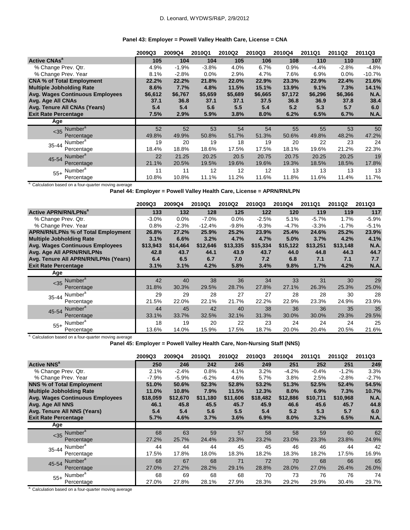### D. Leonard, WYDWS/R&P, 2/9/2012

### **Panel 43: Employer = Powell Valley Health Care, License = CNA**

|                                              | 2009Q3  | 2009Q4  | 2010Q1  | 2010Q2  | 2010Q3  | 2010Q4  | 2011Q1  | 2011Q2  | 2011Q3      |
|----------------------------------------------|---------|---------|---------|---------|---------|---------|---------|---------|-------------|
| <b>Active CNAs<sup>a</sup></b>               | 105     | 104     | 104     | 105     | 106     | 108     | 110     | 110     | 107         |
| % Change Prev. Qtr.                          | 4.9%    | $-1.9%$ | $-3.8%$ | 4.0%    | 6.7%    | 0.9%    | $-4.4%$ | $-2.8%$ | $-4.8%$     |
| % Change Prev. Year                          | 8.1%    | $-2.8%$ | 0.0%    | 2.9%    | 4.7%    | 7.6%    | 6.9%    | $0.0\%$ | $-10.7%$    |
| <b>CNA % of Total Employment</b>             | 22.2%   | 22.2%   | 21.8%   | 22.0%   | 22.9%   | 23.3%   | 22.9%   | 22.4%   | 21.6%       |
| <b>Multiple Jobholding Rate</b>              | 8.6%    | 7.7%    | 4.8%    | 11.5%   | 15.1%   | 13.9%   | 9.1%    | 7.3%    | 14.1%       |
| <b>Avg. Wages Continuous Employees</b>       | \$6,612 | \$6,767 | \$5,659 | \$5,689 | \$6,665 | \$7,172 | \$6,296 | \$6,366 | <b>N.A.</b> |
| Avg. Age All CNAs                            | 37.1    | 36.8    | 37.1    | 37.1    | 37.5    | 36.8    | 36.9    | 37.8    | 38.4        |
| Avg. Tenure All CNAs (Years)                 | 5.4     | 5.4     | 5.6     | 5.5     | 5.4     | 5.2     | 5.3     | 5.7     | 6.0         |
| <b>Exit Rate Percentage</b>                  | 7.5%    | 2.9%    | 5.9%    | 3.8%    | 8.0%    | 6.2%    | 6.5%    | 6.7%    | <b>N.A.</b> |
| Age                                          |         |         |         |         |         |         |         |         |             |
| Number <sup>a</sup><br>$<$ 35 $\overline{ }$ | 52      | 52      | 53      | 54      | 54      | 55      | 55      | 53      | 50          |
| Percentage                                   | 49.8%   | 49.9%   | 50.8%   | 51.7%   | 51.3%   | 50.6%   | 49.8%   | 48.2%   | 47.2%       |
| Number <sup>a</sup><br>35-44                 | 19      | 20      | 19      | 18      | 19      | 20      | 22      | 23      | 24          |
| Percentage                                   | 18.4%   | 18.8%   | 18.6%   | 17.5%   | 17.5%   | 18.1%   | 19.6%   | 21.2%   | 22.3%       |
| 45-54 Number <sup>a</sup>                    | 22      | 21.25   | 20.25   | 20.5    | 20.75   | 20.75   | 20.25   | 20.25   | 19          |
| Percentage                                   | 21.1%   | 20.5%   | 19.5%   | 19.6%   | 19.6%   | 19.3%   | 18.5%   | 18.5%   | 17.8%       |
| Number <sup>a</sup><br>$55+$                 | 11      | 11      | 12      | 12      | 12      | 13      | 13      | 13      | 13          |
| Percentage                                   | 10.8%   | 10.8%   | 11.1%   | 11.2%   | 11.6%   | 11.8%   | 11.6%   | 11.4%   | 11.7%       |

a. Calculation based on a four-quarter moving average

**Panel 44: Employer = Powell Valley Health Care, License = APRN/RN/LPN**

|                                           | 2009Q3   | 2009Q4   | 2010Q1   | 2010Q2   | 2010Q3   | 2010Q4   | 2011Q1   | 2011Q2   | 2011Q3  |
|-------------------------------------------|----------|----------|----------|----------|----------|----------|----------|----------|---------|
| <b>Active APRN/RN/LPNs<sup>a</sup></b>    | 133      | 132      | 128      | 125      | 122      | 120      | 119      | 119      | 117     |
| % Change Prev. Qtr.                       | $-3.0%$  | 0.0%     | $-7.0%$  | 0.0%     | $-2.5%$  | 5.1%     | $-5.7%$  | 1.7%     | $-5.9%$ |
| % Change Prev. Year                       | 0.8%     | $-2.3%$  | $-12.4%$ | $-9.8%$  | $-9.3%$  | $-4.7\%$ | $-3.3%$  | $-1.7%$  | $-5.1%$ |
| <b>APRN/RN/LPNs % of Total Employment</b> | 26.8%    | 27.2%    | 25.9%    | 25.2%    | 23.9%    | 25.4%    | 24.6%    | 25.2%    | 23.9%   |
| <b>Multiple Jobholding Rate</b>           | 3.1%     | 6.6%     | 3.2%     | 4.7%     | 4.7%     | 5.0%     | 3.7%     | 4.2%     | 4.1%    |
| <b>Avg. Wages Continuous Employees</b>    | \$13,943 | \$14,464 | \$12,646 | \$13,335 | \$15,334 | \$15,122 | \$13,251 | \$13,148 | N.A.    |
| Avg. Age All APRN/RN/LPNs                 | 42.8     | 43.7     | 44.1     | 43.9     | 43.7     | 44.0     | 44.8     | 44.3     | 44.7    |
| Avg. Tenure All APRN/RN/LPNs (Years)      | 6.4      | 6.5      | 6.7      | 7.0      | 7.2      | 6.8      | 7.1      | 7.1      | 7.7     |
| <b>Exit Rate Percentage</b>               | 3.1%     | 3.1%     | 4.2%     | 5.8%     | 3.4%     | 9.8%     | 1.7%     | 4.2%     | N.A.    |
| Age                                       |          |          |          |          |          |          |          |          |         |
| Number <sup>a</sup><br>$35$               | 42       | 40       | 38       | 36       | 34       | 33       | 31       | 30       | 29      |
| Percentage                                | 31.8%    | 30.3%    | 29.5%    | 28.7%    | 27.8%    | 27.1%    | 26.3%    | 25.3%    | 25.0%   |
| Number <sup>a</sup><br>35-44              | 29       | 29       | 28       | 27       | 27       | 28       | 28       | 30       | 28      |
| Percentage                                | 21.5%    | 22.0%    | 22.1%    | 21.7%    | 22.2%    | 22.9%    | 23.3%    | 24.9%    | 23.9%   |
| Number <sup>a</sup><br>45-54              | 44       | 45       | 42       | 40       | 38       | 36       | 36       | 35       | 35      |
| Percentage                                | 33.1%    | 33.7%    | 32.5%    | 32.1%    | 31.3%    | 30.0%    | 30.0%    | 29.3%    | 29.5%   |
| Number <sup>a</sup><br>$55+$              | 18       | 19       | 20       | 22       | 23       | 24       | 24       | 24       | 25      |
| Percentage                                | 13.6%    | 14.0%    | 15.9%    | 17.5%    | 18.7%    | 20.0%    | 20.4%    | 20.5%    | 21.6%   |

a. Calculation based on a four-quarter moving average

**Panel 45: Employer = Powell Valley Health Care, Non-Nursing Staff (NNS)**

|                                 |                                  | 2009Q3   | 2009Q4   | 2010Q1   | 2010Q2   | 2010Q3   | 2010Q4   | 2011Q1   | 2011Q2   | <b>2011Q3</b> |
|---------------------------------|----------------------------------|----------|----------|----------|----------|----------|----------|----------|----------|---------------|
| <b>Active NNS<sup>a</sup></b>   |                                  | 250      | 246      | 242      | 245      | 249      | 251      | 252      | 251      | 249           |
| % Change Prev. Qtr.             |                                  | 2.1%     | $-2.4%$  | 0.8%     | 4.1%     | 3.2%     | $-4.2%$  | $-0.4%$  | $-1.2%$  | 3.3%          |
| % Change Prev. Year             |                                  | $-7.9%$  | $-5.9%$  | $-6.2%$  | 4.6%     | 5.7%     | 3.8%     | 2.5%     | $-2.8%$  | $-2.7%$       |
|                                 | <b>NNS % of Total Employment</b> | 51.0%    | 50.6%    | 52.3%    | 52.8%    | 53.2%    | 51.3%    | 52.5%    | 52.4%    | 54.5%         |
| <b>Multiple Jobholding Rate</b> |                                  | 11.0%    | 10.8%    | 7.9%     | 11.5%    | 12.3%    | 8.0%     | 6.9%     | 7.3%     | 10.7%         |
|                                 | Avg. Wages Continuous Employees  | \$18,059 | \$12,670 | \$11,180 | \$11,606 | \$18,482 | \$12,886 | \$10,711 | \$10,968 | <b>N.A.</b>   |
| Avg. Age All NNS                |                                  | 46.1     | 45.8     | 45.5     | 45.7     | 45.9     | 46.6     | 45.6     | 45.7     | 44.8          |
|                                 | Avg. Tenure All NNS (Years)      | 5.4      | 5.4      | 5.6      | 5.5      | 5.4      | 5.2      | 5.3      | 5.7      | 6.0           |
| <b>Exit Rate Percentage</b>     |                                  | 5.7%     | 4.6%     | 3.7%     | 3.6%     | 6.9%     | 8.0%     | 3.2%     | 6.5%     | <b>N.A.</b>   |
| Age                             |                                  |          |          |          |          |          |          |          |          |               |
|                                 | <35 Number <sup>a</sup>          | 68       | 63       | 59       | 57       | 58       | 58       | 59       | 60       | 62            |
|                                 | Percentage                       | 27.2%    | 25.7%    | 24.4%    | 23.3%    | 23.2%    | 23.0%    | 23.3%    | 23.8%    | 24.9%         |
| $35 - 44$                       | Number <sup>a</sup>              | 44       | 44       | 44       | 45       | 45       | 46       | 46       | 44       | 42            |
|                                 | Percentage                       | 17.5%    | 17.8%    | 18.0%    | 18.3%    | 18.2%    | 18.3%    | 18.2%    | 17.5%    | 16.9%         |
|                                 | 45-54 Number <sup>a</sup>        | 68       | 67       | 68       | 71       | 72       | 70       | 68       | 66       | 65            |
|                                 | Percentage                       | 27.0%    | 27.2%    | 28.2%    | 29.1%    | 28.8%    | 28.0%    | 27.0%    | 26.4%    | 26.0%         |
| $55+$                           | Number <sup>a</sup>              | 68       | 69       | 68       | 68       | 70       | 73       | 76       | 76       | 74            |
|                                 | Percentage                       | 27.0%    | 27.8%    | 28.1%    | 27.9%    | 28.3%    | 29.2%    | 29.9%    | 30.4%    | 29.7%         |

a. Calculation based on a four-quarter moving average